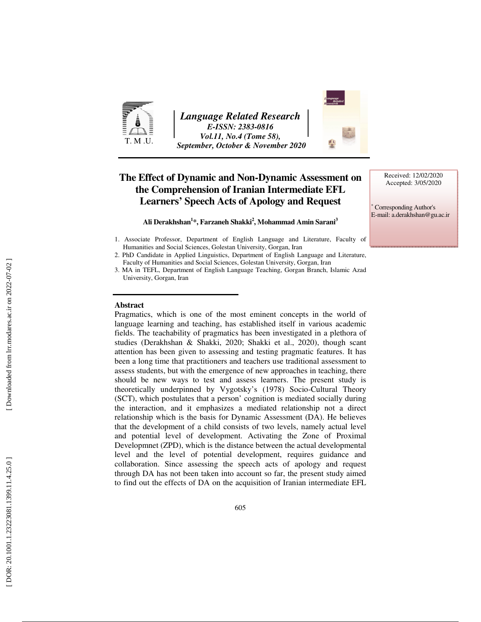

*Language Related Research E-ISSN: 2383-0816 Vol.11, No.4 (Tome 58), September, October & November 2020* 

### **The Effect of Dynamic and Non-Dynamic Assessment on the Comprehension of Iranian Intermediate EFL Learners' Speech Acts of Apology and Request**

**Ali Derakhshan 1 \*, Farzaneh Shakki 2 , Mohammad Amin Sarani 3**

- 1. Associate Professor, Department of English Language and Literature, Faculty of Humanities and Social Sciences, Golestan University, Gorgan, Iran
- 2. PhD Candidate in Applied Linguistics, Department of English Language and Literature, Faculty of Humanities and Social Sciences, Golestan University, Gorgan, Iran
- 3. MA in TEFL, Department of English Language Teaching, Gorgan Branch, Islamic Azad University, Gorgan, Iran

#### **Abstract**

Pragmatics, which is one of the most eminent concepts in the world of language learning and teaching, has established itself in various academic fields. The teachability of pragmatics has been investigated in a plethora of studies (Derakhshan & Shakki, 2020; Shakki et al., 2020), though scant attention has been given to assessing and testing pragmatic features. It has been a long time that practitioners and teachers use traditional assessment to assess students, but with the emergence of new approaches in teaching, there should be new ways to test and assess learners. The present study is theoretically underpinned by Vygotsky's (1978) Socio-Cultural Theory (SCT), which postulates that a person' cognition is mediated socially during the interaction, and it emphasizes a mediated relationship not a direct relationship which is the basis for Dynamic Assessment (DA). He believes that the development of a child consists of two levels, namely actual level and potential level of development. Activating the Zone of Proximal Developmnet (ZPD), which is the distance between the actual developmental level and the level of potential development, requires guidance and collaboration. Since assessing the speech acts of apology and request through DA has not been taken into account so far, the present study aimed to find out the effects of DA on the acquisition of Iranian intermediate EFL



∗ Corresponding Author's E-mail: a.derakhshan@gu.ac.ir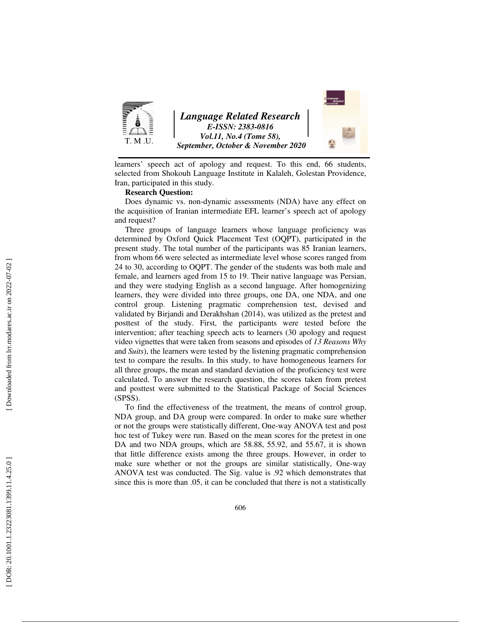

learners' speech act of apology and request. To this end, 66 students, selected from Shokouh Language Institute in Kalaleh, Golestan Providence, Iran, participated in this study.

#### **Research Question:**

Does dynamic vs. non-dynamic assessments (NDA) have any effect on the acquisition of Iranian intermediate EFL learner's speech act of apology and request?

Three groups of language learners whose language proficiency was determined by Oxford Quick Placement Test (OQPT), participated in the present study. The total number of the participants was 85 Iranian learners, from whom 66 were selected as intermediate level whose scores ranged from 24 to 30, according to OQPT. The gender of the students was both male and female, and learners aged from 15 to 19. Their native language was Persian, and they were studying English as a second language. After homogenizing learners, they were divided into three groups, one DA, one NDA, and one control group. Listening pragmatic comprehension test, devised and validated by Birjandi and Derakhshan (2014), was utilized as the pretest and posttest of the study. First, the participants were tested before the intervention; after teaching speech acts to learners (30 apology and request video vignettes that were taken from seasons and episodes of *13 Reasons Why* and *Suits*), the learners were tested by the listening pragmatic comprehension test to compare the results. In this study, to have homogeneous learners for all three groups, the mean and standard deviation of the proficiency test were calculated. To answer the research question, the scores taken from pretest and posttest were submitted to the Statistical Package of Social Sciences (SPSS).

To find the effectiveness of the treatment, the means of control group, NDA group, and DA group were compared. In order to make sure whether or not the groups were statistically different, One-way ANOVA test and post hoc test of Tukey were run. Based on the mean scores for the pretest in one DA and two NDA groups, which are 58.88, 55.92, and 55.67, it is shown that little difference exists among the three groups. However, in order to make sure whether or not the groups are similar statistically, One-way ANOVA test was conducted. The Sig. value is .92 which demonstrates that since this is more than .05, it can be concluded that there is not a statistically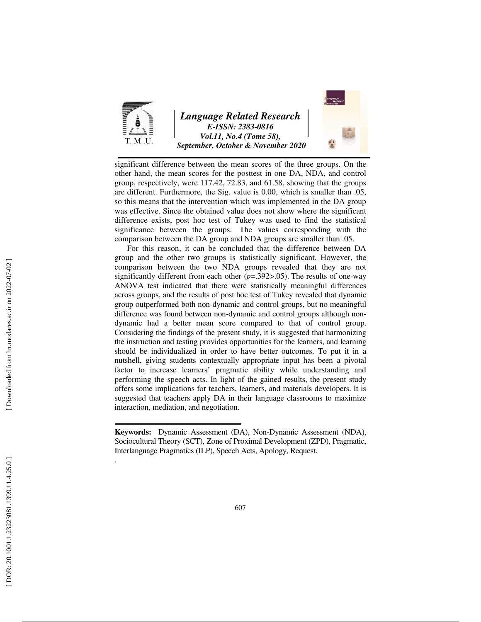

significant difference between the mean scores of the three groups. On the other hand, the mean scores for the posttest in one DA, NDA, and control group, respectively, were 117.42, 72.83, and 61.58, showing that the groups are different. Furthermore, the Sig. value is 0.00, which is smaller than .05, so this means that the intervention which was implemented in the DA group was effective. Since the obtained value does not show where the significant difference exists, post hoc test of Tukey was used to find the statistical significance between the groups. The values corresponding with the comparison between the DA group and NDA groups are smaller than .05.

 For this reason, it can be concluded that the difference between DA group and the other two groups is statistically significant. However, the comparison between the two NDA groups revealed that they are not significantly different from each other (*p*=.392>.05). The results of one-way ANOVA test indicated that there were statistically meaningful differences across groups, and the results of post hoc test of Tukey revealed that dynamic group outperformed both non-dynamic and control groups, but no meaningful difference was found between non-dynamic and control groups although nondynamic had a better mean score compared to that of control group. Considering the findings of the present study, it is suggested that harmonizing the instruction and testing provides opportunities for the learners, and learning should be individualized in order to have better outcomes. To put it in a nutshell, giving students contextually appropriate input has been a pivotal factor to increase learners' pragmatic ability while understanding and performing the speech acts. In light of the gained results, the present study offers some implications for teachers, learners, and materials developers. It is suggested that teachers apply DA in their language classrooms to maximize interaction, mediation, and negotiation.

.

**Keywords:** Dynamic Assessment (DA), Non-Dynamic Assessment (NDA), Sociocultural Theory (SCT), Zone of Proximal Development (ZPD), Pragmatic, Interlanguage Pragmatics (ILP), Speech Acts, Apology, Request.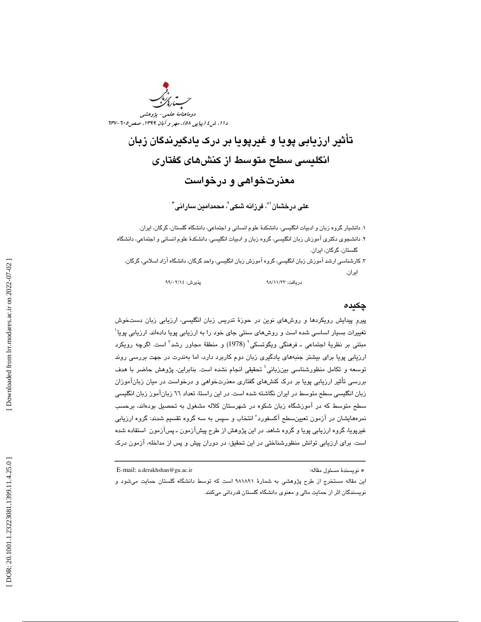

تأثير ارزيابي پويا و غيرپويا بر درک يادگيرندگان زبان انگليسي سطح متوسط از كنشهاي گفتاري معذرتخواهي و درخواست

على درخشان`"، فرزانه شكى`، محمدامين سارانى"

۱. دانشيار گروه زبان و ادبيات انگليسي، دانشكدهٔ علوم انساني و اجتماعي، دانشگاه گلستان، گرگان، ايران.

۲. دانشـجوی دکتری آموزش زبان انگليسی، گروه زبان و ادبيات انگليسی، دانشکدهٔ علوم انسانی و اجتماعی، دانشگاه<br>گلستان، گرگان، ايران.

. 3 كارشناسي ارشد آموزش زبان انگليسي، گروه آموزش زبان انگليسي، واحد گرگان، دانشگاه آزاد اسلامي، گرگان، ايران.

دريافت: ٩٨/١١/٢٣

٩٩/٠٢/١٤ پذيرش: ١٩٩/٠٢/١٤

#### چكيده

پيرو پيدايش رويكردها و روشهاى نوين در حوزهٔ تدريس زبان انگليسي، ارزيابي زبان دستخوش تغییرات بسیار اساسی شده است و روشهای سنتی جای خود را به ارزیابی پویا دادهاند. ارزیابی پویا<sup>۰</sup> مبتنی بر نظریهٔ اجتماعی ــ فرهنگی ویگوتسکی<sup>٬</sup> (1978) و منطقهٔ مجاور رشد<sup>۲</sup> است. اگرچه رویکرد ارزيابي پويا براي بيشتر جنبههاي يادگيري زبان دوم كاربرد دارد، اما بهندرت در جهت بررسي روند توسعه و تكامل منظورشناسى بينزبانى<sup>؛</sup> تحقيقى انجام نشده است. بنابراين، پژوهش حاضر با هدف بررسی تأثير ارزيابی پويا بر درک کنشهای گفتاری معذرتخواهی و درخواست در ميان زبانآموزان زبان انگليسي سطح متوسط در ايران نگاشته شده است. در اين راستا، تعداد ٦٦ زبانآموز زبان انگليسي سطح متوسط كه در آموزشگاه زبان شكوه در شهرستان كلاله مشغول به تحصیل بودهاند، برحسب نمرههايشان در آزمون تعيينسطح آكسفورد ْ انتخاب و سپس به سه گروه تقسيم شدند: گروه ارزيابي غيرپويا، گروه ارزيابي پويا و گروه شاهد. در اين پژوهش از طرح پيشآزمون ـ پسآزمون استفاده شده است. برای ارزيابي توانش منظورشناختي در اين تحقيق، در دوران پيش و پس از مداخله، آزمون درک د*وماهنامة علمى- پژوهشى*<br>قدر/0.0 مهر و *آباد ۱۳۹۹: مصره۲۰-۷*<br>ب**ادگير بذرگان** *۱۳۹۹: مصره۲۰-۷***<br>سارانى<sup>-</sup><br>كان دانشگاه آزاد اسلامى كركان<br>كان دانشگاه آزاد اسلامى كركان<br>بايسى، ارزيابى زبان دستخوش<br>بايسى، ارزيابى زبان دستخوش<br>باير** 

ــــــــــــــــــــــــــــــــــــــــــــــــــــــــــــــــــــــــــــــــــــــــــــــــــــــــــــــــــــــــــــــــــــــــــ

E-mail: a.derakhshan@gu.ac.ir :مقاله مسئول نويسندة\*

اين مقاله مستخرج از طرح پژوهشي به شمارة 981891 است كه توسط دانشگاه گلستان حمايت ميشود و

نويسندگان اثر از حمايت مالي و معنوي دانشگاه گلستان قدرداني ميكنند .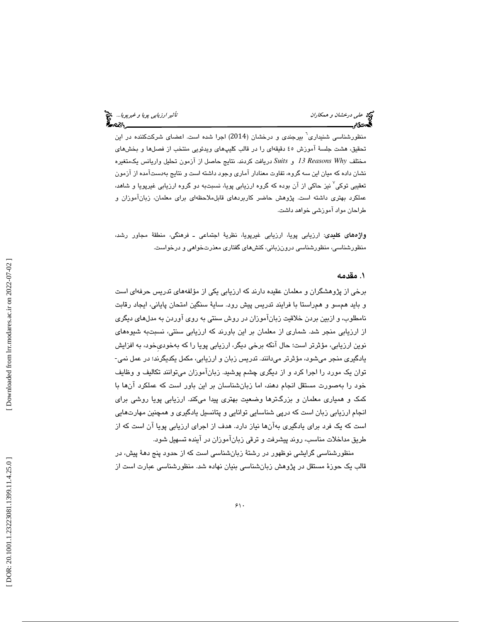منظورشناسی شنیداری<sup>٬</sup> بیرجندی و درخشان (2014) اجرا شده است. اعضای شرکتکننده در این تحقيق، هشت جلسهٔ آموزش ٤٥ دقيقهاي را در قالب كليپهاي ويدئويي منتخب از فصلها و بخشهاي مختلف *Why Reasons 13* و *Suits* دريافت كردند. نتا يج حاصل از آزمون تحل يل واريانس يكمتغيره نشان داده كه ميان اين سه گروه، تفاوت معنادار امارى وجود داشته است و نتايج بهدست|مده از ازمون<br>تعقيبي توكي<sup>۷</sup> نيز حاكي از آن بوده كه گروه ارزيابي پويا، نسبتبه دو گروه ارزيابي غيرپويا و شاهد، عملكرد بهترى داشته است. پژوهش حاضر كاربردهاى قابلملاحظهاى براى معلمان، زباناموزان و طراحان مواد آموزشی خواهد داشت.

**واژههای کلیدی**: ارزیابی پویا، ارزیابی غیرپویا، نظریهٔ اجتماعی ــ فرهنگی، منطقهٔ مجاور رشد، منظورشناسی، منظورشناسی درونزبانی، كنشهای گفتاری معذرتخواهی و درخواست.

#### . مقدمه 1

برخی از پژوهشگران و معلمان عقيده دارند كه ارزيابي يكي از مؤلفههاي تدريس حرفهاي است و بايد همسو و همراستا با فرايند تدريس پيش رود. سايهٔ سنگين امتحان پاياني، ايجاد رقابت نامطلوب، و ازبين بردن خلاقيت زبانآموزان در روش سنتي به روي آوردن به مدلهاي ديگري از ارزيابي منجر شد. شماري از معلمان بر اين باورند كه ارزيابي سنتي، نسبتبه شيوههاي نوين ارزيابي، مؤثرتر است؛ حال آنكه برخي ديگر، ارزيابي پويا را كه بهخوديخود، به افزايش یادگیری منجر میشود، مؤثرتر میدانند. تدریس زبان و ارزیابی، مکمل یکدیگرند؛ در عمل نمی-توان يک مورد را اجرا کرد و از ديگری چشم پوشيد. زبان!موزان ميتوانند تکاليف و وظايف خود را بهصورت مستقل انجام دهند، اما زبانشناسان بر این باور است كه عملكرد آنها با كمک و همیاری معلمان و بزرگترها وضعیت بهتری پیدا میكند. ارزیابی پویا روشی برای انجام ارزيابي زبان است كه درپي شناسايي توانايي و پتانسيل يادگيري و همچنين مهارتهايي است كه يك فرد براي يادگيري بهآنها نياز دارد. هدف از اجراي ارزيابي پويا آن است كه از طر يق مداخلات مناسب، روند پيشرفت و ترق ي زبانآموزان در آينده تسه يل شود.

منظورشناسی گرايشی نوظهور در رشتهٔ زبانشناسی است كه از حدود پنج دههٔ پیش، در قالب يک حوزهٔ مستقل در پژوهش زبانشناسی بنیان نهاده شد. منظورشناسی عبارت است از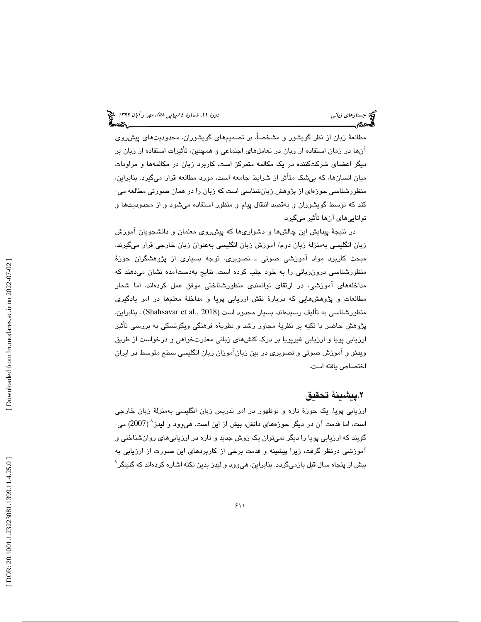مطالعهٔ زبان از نظر گويشور و مشخصاً، بر تصميمهای گويشوران، محدوديتهای پيشروی آنها در زمان استفاده از زبان در تعاملهای اجتماعی و همچنین، تأثیرات استفاده از زبان بر دیگر اعضای شرکتکننده در یک مکالمه متمرکز است. کاربرد زبان در مکالمهها و مراودات میان انسانها، كه بیشک متاثر از شرایط جامعه است، مورد مطالعه قرار میگیرد. بنابراین، منظورشناسی حوزهای از پژوهش زبانشناسی است كه زبان را در همان صورتی مطالعه می-كند كه توسط گويشوران و بهقصد انتقال پيام و منظور استفاده ميشود و از محدوديتها و تواناییِ مای انها تأثیر میگیرد.

در نتيجهٔ پيدايش اين چالشها و دشوارىها كه پيشروى معلمان و دانشجويان اموزش زبان انگلیسی بهمنزلهٔ زبان دوم/ اموزش زبان انگلیسی بهعنوان زبان خارجی قرار میگیرند، مبحث كاربرد مواد اموزشی صوتی ــ تصویری، توجه بسیاری از پژوهشگران حوزهٔ منظورشناسی درونزبانی را به خود جلب کرده است. نتایج بهدستامده نشان میدهند که مداخلههای اموزشی، در ارتقای توانمندی منظورشناختی موفق عمل کردهاند، اما شمار مطالعات و پژوهشهايي كه دربارهٔ نقش ارزيابي پويا و مداخلهٔ معلمها در امر يادگيري منظورشناسي به تأليف رسيدهاند، بسيار محدود است (Shahsavar et al., 2018) . بنابراين، پژوهش حاضر با تکيه بر نظريۀ مجاور رشد و نظريۀه فرهنگي ويگوتسکي به بررسي تاثير ارزيابي پويا و ارزيابي غيرپويا بر درک کنشهای زبانی معذرتخواهی و درخواست از طريق ويدئو و اموزش صوتي و تصويرى در بين زباناموزان زبان انگليسي سطح متوسط در ايران اختصاص يافته است.

#### ٢.پيشينهٔ تحقيق .

ارزيابي پويا، يک حوزهٔ تازه و نوظهور در امر تدريس زبان انگليسي بهمنزلهٔ زبان خارجي است، اما قدمت آن در دیگر حوزههای دانش، بیش از این است. هیوود و لیدز^ (2007) می-گويند كه ارزيابي پويا را ديگر نميتوان يک روش جديد و تازه در ارزيابي $\mathbf a$ اي روانشناختي و اموزشي درنظر گرفت، زيرا پيشينه و قدمت برخي از كاربردهاي اين صورت از ارزيابي به بیش از پنجاه سال قبل بازمیگردد. بنابراین، هیوود و لیدز بدین نکته اشاره کردهاند که گتینگر<sup>۹</sup>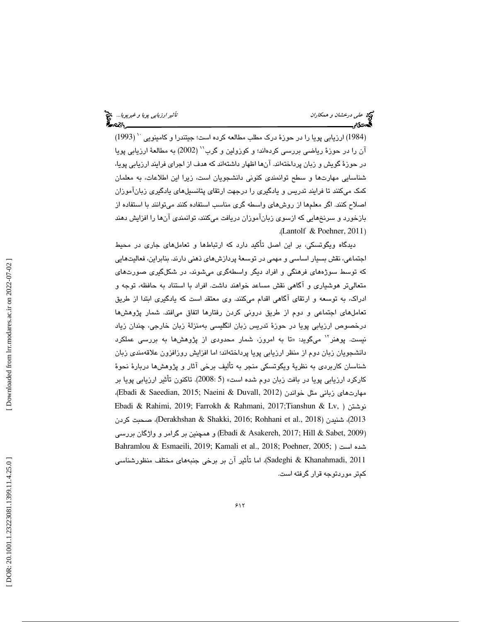(1984) ارزیابی پویا را در حوزهٔ درک مطلب مطالعه کرده است؛ جیتندرا و کامینویی `` (1993) آن را در حوزهٔ ریاضی بررسی کردهاند؛ و کوزولین و گرب'' (2002) به مطالعهٔ ارزیابی پویا در حوزهٔ گويش و زبان پرداختهاند. آنها اظهار داشتهاند كه هدف از اجرای فرايند ارزيابي پويا، شناسايي مهارتـها و سطح توانمندي كنوني دانشـجويان است، زيرا اين اطلاعات، به معلمان كمک میکنند تا فرایند تدریس و یادگیری را درجهت ارتقای پتانسیلهای یادگیری زبان!موزان اصلاح كنند. اگر معلمها از روشهاي واسطه گري مناسب استفاده كنند ميتوانند با استفاده از بازخورد و سرنخهايي كه ازسو ي زبانآموزان دريافت ميكنند، توانمندي آن ها را افزايش دهند ( . Lantolf & Poehner, 2011 )

دیدگاه ویگوتسکی، بر این اصل تاکید دارد که ارتباطها و تعاملهای جاری در محیط اجتماعي، نقش بسيار اساسي و مهمي در توسعهٔ پردازش هاي ذهني دارند. بنابراين، فعاليتهايي كه توسط سوژههای فرهنگی و افراد دیگر واسطهگری میشوند، در شكلگیری صورتهای متعالیتر هوشیاری و اگاهی نقش مساعد خواهند داشت. افراد با استناد به حافظه، توجه و ادراک، به توسعه و ارتقای اگاهی اقدام میکنند. وی معتقد است که یادگیری ابتدا از طریق تعاملهاي اجتماعي و دوم از طريق دروني كردن رفتارها اتفاق ميافتد. شمار پژوهشها درخصوص ارزيابي پويا در حوزهٔ تدريس زبان انگليسي بهمنزلهٔ زبان خارجي، چندان زياد نيست. پوهنر<sup>۱۲</sup> مىگويد: «تا به امروز، شمار محدودى از پژوهش،ها به بررس*ى* عملكرد دانشجويان زبان دوم از منظر ارزيابي پويا پرداختهاند؛ اما افزايش روزافزون علاقهمندي زبان شناسان كاربردى به نظريهٔ ويگوتسكي منجر به تأليف برخي اثار و پژوهشها دربارهٔ نحوهٔ كاركرد ارزيابي پويا در بافت زبان دوم شده است» (2008:5). تاكنون تأثير ارزيابي پويا بر . مهارت هاي زباني مثل خواندن (2012 ,Ebadi & Saeedian, 2015; Naeini & Duvall, 2012)، Ebadi & Rahimi, 2019; Farrokh & Rahmani, 2017;Tianshun & Lv, ) نوشتن كردن صحبت ،)Derakhshan & Shakki, 2016; Rohhani et al., 2018 2013)، شنيدن ( (Ebadi & Asakereh, 2017; Hill & Sabet, 2009) و همچنین بر گرامر و واژگان بررسی Bahramlou & Esmaeili, 2019; Kamali et al., 2018; Poehner, 2005; ) است شده 2011 ,Sadeghi & Khanahmadi)، اما تأثير آن بر برخي جنبههاي مختلف منظورشناسي كمتر موردتوجه قرار گرفته است.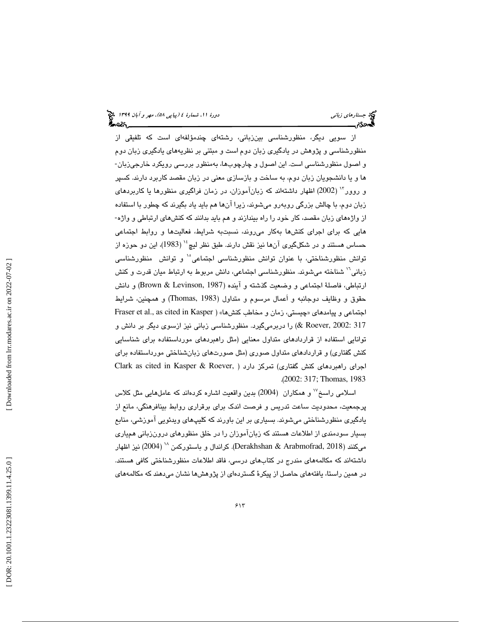از سويی ديگر، منظورشناسی بينزبانی، رشتهای چندمؤلفهای است که تلفيقی از منظورشناسی و پژوهش در يادگيری زبان دوم است و مبتنی بر نظريههای يادگيری زبان دوم<br>و اصول منظورشناسی است. اين اصول و چارچوبها، بهمنظور بررسی رويكرد خارجیزبان- ياو ها دانشجويان زبان دوم ، به ساخت و بازساز ي معن ي در زبان مقصد كاربرد دارند. كسپر و روور " (2002) اظهار داشتهاند كه زبانآموزان، در زمان فراگیری منظورها یا كاربردهای زبان دوم، با چالش بزرگی روبەرو میشوند، زیرا انها هم باید یاد بگیرند که چطور با استفاده از واژههای زبان مقصد، كار خود را راه بیندازند و هم باید بدانند كه كنشهای ارتباطی و واژه-ا هايی که برای اجرای کنشها بهکار میروند، نسبتبه شرایط، فعالیتها و روابط اجتماعی <sup>ه</sup>' و توانش منظورشناسي حساس هستند و در شكلگيري آنها نيز نقش دارند. طبق نظر ليچ<sup>،</sup>'' (1983)، اين دو حوزه از زباني<sup>۱٬</sup> شناخته ميشوند. منظورشناسي اجتماعي، دانش مربوط به ارتباط ميان قدرت و كنش ارتباطي، فاصلهٔ اجتماعي و وضعيت گذشته و آينده (Brown & Levinson, 1987) و دانش حقوق و وظايف دوجانبه و اَعمال مرسوم و متداول (1983 ,Thomas (و همچنين، شرا يط اجتماعي و پيامدهاي «چيستي، زمان و مخاطب كنشها» ( Fraser et al., as cited in Kasper 317 :Roever, 2002) را دربرمیگیرد. منظورشناسی زبانی نیز ازسوی دیگر بر دانش و توانايي استفاده از قراردادهای متداول معنايي (مثل راهبردهای مورداستفاده برای شناسايي كنش گفتاری) و قراردادهای متداول صوری (مثل صورتهای زبانشناختی مورداستفاده برای Clark as cited in Kasper & Roever, ) اجرای راهبردهای کنش گفتاری) تمرکز دارد .(2002: 317; Thomas, 1983

اسلامی راسخ<sup>۱۷</sup> و همكاران (2004) بدین واقعیت اشاره كردهاند كه عاملهایی مثل كلاس پرجمعيت، محدوديت ساعت تدريس و فرصت اندك براي برقراري روابط بينافرهنگي، مانع از یادگیری منظورشناختی میشوند. بسیاری بر این باورند که کلیپهای ویدئویی اموزشی، منابع بسيار سودمندي از اطلاعات هستند كه زبانآموزان را در خلق منظورهاي درونزباني همياري میکنند (Derakhshan & Arabmofrad, 2018). کراندال و باستورکمن <sup>۱۸</sup> (2004) نیز اظهار داشتهاند كه مكالمههاى مندرج در كتابهاى درسى، فاقد اطلاعات منظورشناختى كافى هستند. در همین راستا، یافتههای حاصل از پیکرهٔ گستردهای از پژوهشها نشان میدهند که مکالمههای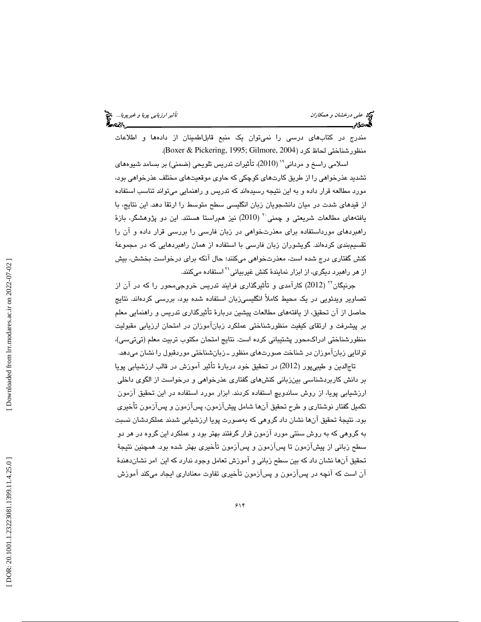مندرج در كتابهاى درسى را نمىتوان يک منبع قابلاطمينان از دادهها و اطلاعات

منظورشناختی لحاظ کرد (Boxer & Pickering, 1995; Gilmore, 2004).<br>اسلامی راسخ و مردانی\*` (2010)، تأثیرات تدریس تلویحی (ضمنی) بر بسامد شیوههای تشدید عذرخواهی را از طریق کارتهای کوچکی که حاوی موقعیتهای مختلف عذرخواهی بود، مورد مطالعه قرار داده و به این نتیجه رسیدهاند که تدریس و راهنمایی میتواند تناسب استفاده از قید*های* شدت در میان دانشجویان زبان انگلیسی سطح متوسط را ارتقا دهد. این نتایج، با<br>یافتههای مطالعات شریعتی و چمنی <sup>۲۰</sup> (2010) نیز همراستا هستند. این دو پژوهشگر، بازهٔ راهبردهای مورداستفاده برای معذرتخواهی در زبان فارسی را بررسی قرار داده و آن را تقسیمېندی کردهاند. گویشوران زبان فارسی با استفاده از همان راهبردهایی که در مجموعهٔ كنش گفتارى درج شده است، معذرتخواهى مىكنند؛ حال انكه براى درخواست بخشش، بيش از هر راهبرد ديگری، از ابزار نمايندۀ كنش غيربيانی<sup>۲۱</sup> استفاده میكنند.

جرنيگان<sup>۲۲</sup> (2012) كارآمد*ي* و تأثيرگذاري فرايند تدريس خروجي،حور را كه در آن از تصاویر ویدئویی در یک محیط کاملاً انگلیسی;زبان استفاده شده بود، بررسی کردهاند. نتایج حاصل از آن تحقيق، از يافتههاي مطالعات پيشين دربارهٔ تأثيرگذاري تدريس و راهنمايي معلم بر پيشرفت و ارتقاى كيفيت منظورشناختى عملكرد زبان۱موزان در امتحان ارزيابى مقبوليت منظورشناختي ادراكمحور پشتيباني كرده است. نتايج امتحان مكتوب تربيت معلم (تيتي سي)، توانايي زباناموزان در شناخت صورتهاى منظور ـ زبانشناختي موردقبول را نشان ميدهد.

تاجالدين و طيبي يور (2012) در تحقيق خود دربارهٔ تأثير آموزش در قالب ارزشيابي پويا بر دانش كاربردشناسي بينزباني كنشهای گفتاری عذرخواهی و درخواست از الگوی داخلی ارزشیابی پویا، از روش ساندویچ استفاده کردند. ابزار مورد استفاده در این تحقیق آزمون تکمیل گفتار نوشتاری و طرح تحقیق انها شامل پیشازمون، پسازمون و پسازمون تأخیری بود. نتيجهٔ تحقيق انها نشان داد گروهی كه بهصورت پويا ارزشيابی شدند عملكردشان نسبت به گروهی كه به روش سنتی مورد ازمون قرار گرفتند بهتر بود و عملكرد اين گروه در هر دو سطح زباني از پيشازمون تا پسازمون و پسازمون تأخيري بهتر شده بود. همچنين نتيجهٔ تحقيق انها نشان داد كه بين سطح زباني و اموزش تعامل وجود ندارد كه اين امر نشاندهندهٔ ان است كه انچه در پسازمون و پسازمون تاخيرى تفاوت معنادارى ايجاد مىكند اموزش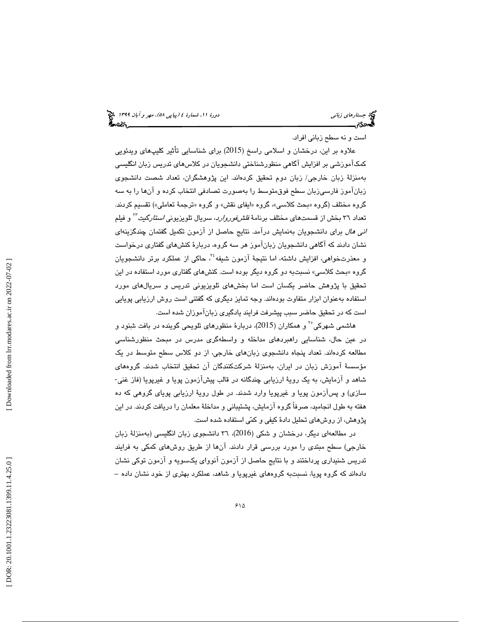### (پياپي 58)، مهر و آبان 1399 جستارهاي زباني دورة ،11 شمارة 4

است و نه سطح زبانی افراد.

علاوه بر اين، درخشان و اسلامی راسخ (2015) برای شناسایی تأثیر کلیپهای ویدئویی كمكآموزشي بر افزايش آگاهي منظورشناختي دانشجويان در كلاسهاي تدريس زبان انگليسي بهمنزلهٔ زبان خارجی/ زبان دوم تحقیق کردهاند. این پژوهشگران، تعداد شصت دانشجوی زباناموز فارسیزبان سطح فوق،توسط را بهصورت تصادفی انتخاب کرده و انها را به سه گروه مختلف (گروه «بحث كلاسـي»، گروه «ايفاى نقش» و گروه «ترجمهٔ تعاملـي») تقسيم كردند. تعداد ٣٦ بخش از قسمتهاى مختلف برنامهٔ *فلشفوروارد*، سريال تلويزيون*ي استارگيت<sup>71</sup>* و فيلم *انی هال* برای دانشجویان بەنمايش درامد. نتايج حاصل از ازمون تكميل گفتمان چندگزينەای نشان دادند كه آگاهی دانشجویان زبانآموز هر سه گروه، دربارهٔ كنشهای گفتاری درخواست و معذرتخواهی، افزایش داشته، اما نتیجهٔ آزمون شیفه $\texttt{Y}^i$  حاکی از عملکرد برتر دانشجویان گروه «بحث كلاسى» نسبتبه دو گروه ديگر بوده است. كنشهاى گفتارى مورد استفاده در اين تحقيق با پژوهش حاضر يكسان است اما بخشهاي تلويزيوني تدريس و سريالهاي مورد استفاده بهعنوان ابزار متفاوت بودهاند. وجه تمايز ديگري كه گفتني است روش ارزيابي پويايي است كه در تحقيق حاضر سبب پيشرفت فرايند يادگيری زبانآموزان شده است.<br>هاشمی شهرکی ْ آ و همکاران (2015)، دربارهٔ منظورهای تلویحی گوینده در بافت شنود و

در عين حال، شناسايي راهبردهای مداخله و واسطهگری مدرس در مبحث منظورشناسی مطالعه كردهاند. تعداد پنجاه دانشجوی زبانهای خارجی، از دو كلاس سطح متوسط در يک مؤسسهٔ آموزش زبان در ايران، بهمنزلهٔ شركتكنندگان آن تحقيق انتخاب شدند. گروههای شاهد و آزمایش، به یک رویهٔ ارزیابی چندگانه در قالب پیشآزمون پویا و غیرپویا (فاز غنی-سازی) و پسازمون پویا و غیرپویا وارد شدند. در طول رویهٔ ارزیابی پویای گروهی كه ده هفته به طول انجاميد، صرفاً گروه آزمايش، پشتيباني و مداخلهٔ معلمان را دريافت كردند. در اين پژوهش، از روش های تحلیل دادهٔ كیفی و كمّی استفاده شده است.

در مطالعهای دیگر، درخشان و شکی (2016)، ۳٦ دانشجوی زبان انگلیسی (بهمنزلهٔ زبان خارجي) سطح مبتدى را مورد بررسى قرار دادند. انها از طريق روشهاى كمكى به فرايند تدریس شنیداری پرداختند و با نتایج حاصل از آزمون آنووای یکسویه و آزمون توکی نشان<br>دادهاند که گروه پویا، نسبتبه گروههای غیرپویا و شاهد، عملکرد بهتری از خود نشان داده –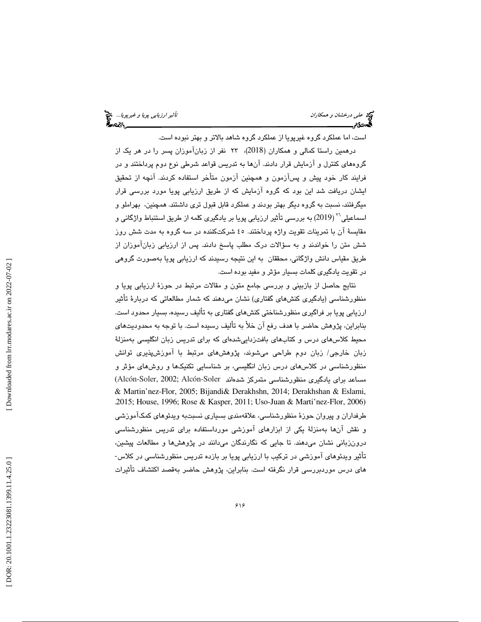است ، اما عملكرد گروه غيرپويا از عملكرد گروه شاهد بالاتر و بهتر نبوده است.

درهمین راستا کمالی و همکاران (2018)، ۲۳ نفر از زبانآموزان پسر را در هر یک از گروههاي كنترل و آزمايش قرار دادند. آنها به تدريس قواعد شرطي نوع دوم پرداختند و در فرايند كار خود پيش و پسازمون و همچنين ازمون متاخر استفاده كردند. انچه از تحقيق ايشان دريافت شد اين بود كه گروه آزمايش كه از طريق ارزيابي پويا مورد بررسي قرار ميگرفتند، نسبت به گروه ديگر بهتر بودند و عملكرد قابل قبول تري داشتند. همچنين، بهراملو و اسماعیلی<sup>۲۰</sup> ( 2019) به بررسی تأثیر ارزیابی پویا بر یادگیری کلمه از طریق استنباط واژگانی و مقايسهٔ آن با تمرينات تقويت واژه پرداختند. ٤٥ شركتكننده در سه گروه به مدت شش روز شش متن را خواندند و به سؤالات درک مطلب پاسخ دادند. پس از ارزیابی زبان۱موزان از طريق مقياس دانش واژگاني، محققان به اين نتيجه رسيدند كه ارزيابي پويا بهصورت گروهي در تقويت يادگيري كلمات بسيار مؤثر و مفيد بوده است.

نتايج حاصل از بازبيني و بررسي جامع متون و مقالات مرتبط در حوزهٔ ارزيابي پويا و منظورشناسی (يادگيری كنش،ای گفتاری) نشان میدهند كه شمار مطالعاتی كه دربارهٔ تأثیر ارزيابي پويا بر فراگيري منظورشناختي كنشهاي گفتاري به تأليف رسيده، بسيار محدود است. بنابراين، پژوهش حاضر با هدف رفع آن خلأ به تأليف رسيده است. با توجه به محدوديت يها محیط کلاس،های درس و کتاب،های بافتزداییشدهای که برای تدریس زبان انگلیسی بهمنزلهٔ زبان خارجی/ زبان دوم طراحی میشوند، پژوهشهای مرتبط با اموزشپذیری توانش منظورشناسی در كلاس،های درس زبان انگلیسی، بر شناسایی تكنیكها و روشهای مؤثر و<br>مساعد برای یادگیری منظورشناسی متمركز شدهاند Alcón-Soler, 2002; Alcón-Soler) & Martin'nez-Flor, 2005; Bijandi& Derakhshn, 2014; Derakhshan & Eslami, .2015; House, 1996; Rose & Kasper, 2011; Uso-Juan & Marti'nez-Flor, 2006) طرفداران و پيروان حوزهٔ منظورشناسي، علاقهمندي بسياري نسبتبه ويدئوهاي كمك\موزشي و نقش انها بهمنزلهٔ یکی از ابزارهای اموزشی مورداستفاده برای تدریس منظورشناسی درونزبانی نشان میدهند. تا جایی که نگارندگان میدانند در پژوهشها و مطالعات پیشین، تأثير ويدئوهاي آموزشي در تركيب با ارزيابي پويا بر بازده تدريس منظورشناسي در كلاس-های درس موردبررسی قرار نگرفته است. بنابراین، پژوهش حاضر بهقصد اكتشاف تأثیرات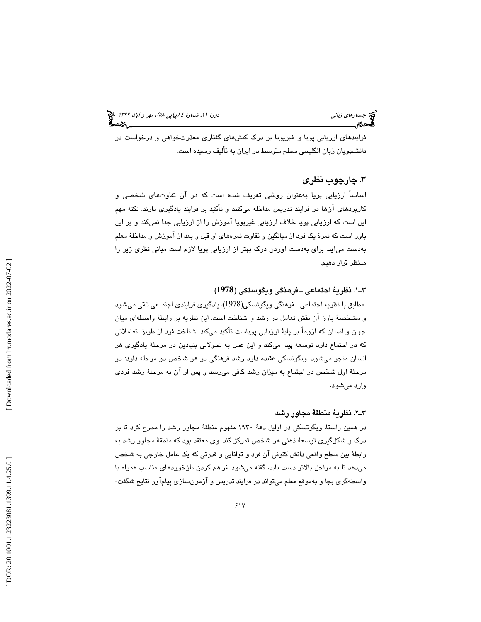فرايندهای ارزيابی پويا و غيرپويا بر درک کنشهای گفتاری معذرتخواهی و درخواست در دانشجويان زبان انگليسي سطح متوسط در ايران به تأليف رسيده است.

#### . 3 چارچوب نظري

اساساً ارزيابي پويا بهعنوان روشي تعريف شده است كه در آن تفاوتهاي شخصي و كاربردهاي آنها در فرايند تدريس مداخله ميكنند و تأكيد بر فرايند يادگيري دارند. نكتهٔ مهم اين است كه ارزيابي پويا خلاف ارزيابي غيرپويا آموزش را از ارزيابي جدا نميكند و بر اين باور است كه نمرهٔ يک فرد از ميانگين و تفاوت نمرههاي او قبل و بعد از آموزش و مداخلهٔ معلم هب دست ميآيد. براي بهدست آوردن درك بهتر از ارزيابي پويا لازم است مباني نظري زير را مدنظر قرار دهيم.

### ( **1978** 1.ـ3 نظري ة اجتماعي ـ فرهنگي ويگوستكي (

مطابق با نظريه اجتماعي ـ فرهنگي ويگوتسكي(1978)، يادگيري فرايندي اجتماعي تلقي ميشود و مشخصهٔ بارز ان نقش تعامل در رشد و شناخت است. این نظریه بر رابطهٔ واسطهای میان جهان و انسان كه لزوما بر پايهٔ ارزيابي پوياست تاكيد ميكند. شناخت فرد از طريق تعاملاتي كه در اجتماع دارد توسعه پيدا ميكند و اين عمل به تحولاتي بنيادين در مرحلهٔ يادگيرى هر انسان منجر ميشود. ويگوتسكي عقيده دارد رشد فرهنگي در هر شخص دو مرحله دارد: در مرحلهٔ اول شخص در اجتماع به میزان رشد كافی میرسد و پس از آن به مرحلهٔ رشد فردی وارد ميشود .

#### ٢ـ٦. نظرية منطقة مجاور رشد

در همين راستا، ويگوتسكي در اوايل دههٔ ۱۹۳۰ مفهوم منطقهٔ مجاور رشد را مطرح كرد تا بر درک و شکلگیری توسعهٔ ذهنی هر شخص تمرکز کند. وی معتقد بود که منطقهٔ مجاور رشد به رابطهٔ بين سطح واقعي دانش كنوني آن فرد و توانايي و قدرتي كه يك عامل خارجي به شخص میدهد تا به مراحل بالاتر دست یابد، گفته میشود. فراهم کردن بازخوردهای مناسب همراه با<br>واسطهگری بجا و بهموقع معلم میتواند در فرایند تدریس و آزمونسازی پیامآور نتایج شگفت-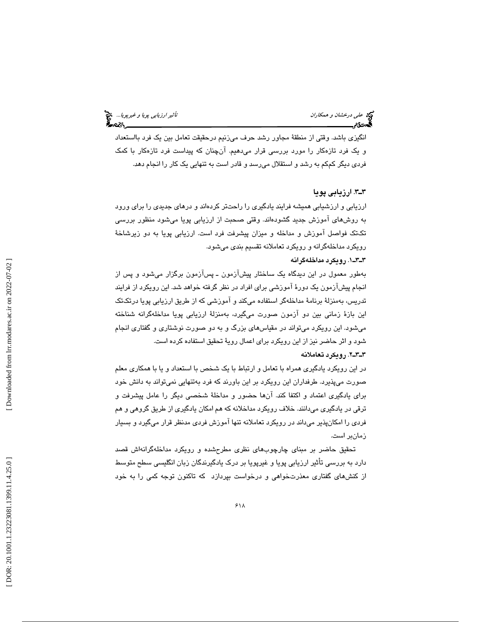ئ*اثير ارزيابى پويا و غيرپويا...*. چ<mark>خ</mark><br>استانستان استان پوچ پ

انگيزي باشد. وقتي از منطقهٔ مجاور رشد حرف ميزنيم درحقيقت تعامل بين يک فرد بااستعداد و يك فرد تازهكار را مورد بررسي قرار ميدهيم. آنچنان كه پيداست فرد تازهكار با كمك فردي ديگر كمكم به رشد و استقلال ميرسد و قادر است به تنهايي يك كار را انجام دهد.

#### . 3ـ3 ارزيابي پويا

ارزيابي و ارزشيابي هميشه فرايند يادگيري را راحتتر كردهاند و درهاي جديدي را براي ورود به روشهاي آموزش جديد گشودهاند. وقتي صحبت از ارزيابي پويا ميشود منظور بررسي تكتك فواصل آموزش و مداخله و ميزان پيشرفت فرد است. ارزيابي پويا به دو زيرشاخ ة رويكرد مداخلهگرانه و رويكرد تعاملانه تقسيم بندي ميشود.

#### . 1ـ3ـ3 رويكرد مداخلهگرانه

بهطور معمول در اين ديدگاه يك ساختار پيشآزمون ـ پسآزمون برگزار ميشود و پس از انجام پیشازمون یک دورهٔ اموزشی برای افراد در نظر گرفته خواهد شد. این رویکرد از فرایند تدريس، بهمنزلهٔ برنامهٔ مداخلهگر استفاده میكند و آموزشی كه از طريق ارزيابی پويا درتكتک اين بازهٔ زماني بين دو آزمون صورت ميگيرد، بهمنزلهٔ ارزيابي پويا مداخلهگرانه شناخته ميشود. اين رويكرد ميتواند در مقياسهاي بزرگ و به دو صورت نوشتاري و گفتاري انجام شود و اثر حاضر نيز از اين رويكرد براى اعمال رويهٔ تحقيق استفاده كرده است.

#### . 2ـ3ـ3 رويكرد تعاملانه

در اين رويكرد يادگيري همراه با تعامل و ارتباط با يك شخص با استعداد و يا با همكاري معلم صورت ميپذيرد. طرفداران اين رويكرد بر اين باورند كه فرد بهتنهايي نميتواند به دانش خود براي يادگيري اعتماد و اكتفا كند. آنها حضور و مداخل ة شخصي ديگر را عامل پيشرفت و ترقی در یادگیری میدانند. خلاف رویکرد مداخلانه که هم امکان یادگیری از طریق گروهی و هم فردي را امكانپذير ميداند در رويكرد تعاملانه تنها آموزش فردي مدنظر قرار ميگيرد و بسيار زمانبر است.

تحقيق حاضر بر مبناي چارچوبهاي نظري مطرحشده و رويكرد مداخلهگرانهاش قصد دارد به بررسي تأثير ارزيابي پو يا و غيرپويا بر درك يادگيرندگان زبان انگليسي سطح متوسط از كنشهای گفتاری معذرتخواهی و درخواست بپردازد كه تاكنون توجه كمی را به خود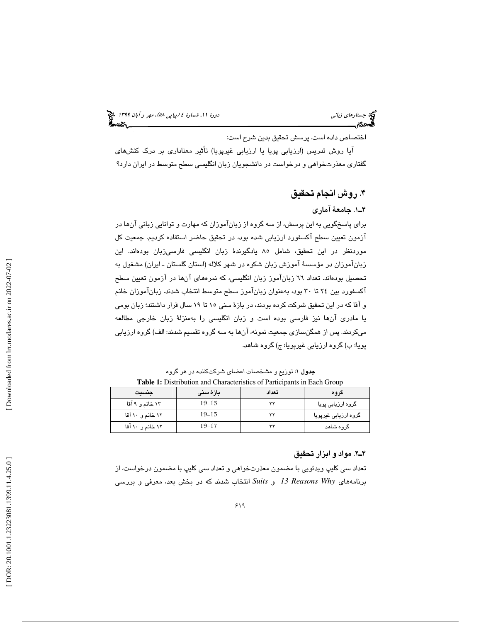اختصاص داده است. پرسش تحقيق بدين شرح است:

آيا روش تدريس (ارزيابي پويا يا ارزيابي غيرپويا) تأثير معناداري بر درک کنشهاي گفتاری معذرتخواهی و درخواست در دانشجویان زبان انگلیسی سطح متوسط در ایران دارد؟

. روش انجام تحقيق 4

#### . 1ـ4 جامع ة آماري

برای پاسخگویی به این پرسش، از سه گروه از زبانآموزان كه مهارت و توانایی زبانی آنها در آزمون تعيين سطح آكسفورد ارزيابي شده بود، در تحقيق حاضر استفاده كرديم. جمعيت كل موردنظر در اين تحقيق، شامل ۸۰ يادگيرندهٔ زبان انگليسى فارسى;بان بودهاند. اين زبانآموزان در مؤسسهٔ آموزش زبان شکوه در شهر کلاله (استان گلستان ـ ایران) مشغول به تحصيل بودهاند. تعداد 66 زبانآموز زبان انگليسي، ك ه نمره يها آنها در آزمون تعيين سطح آكسفورد بين ٢٤ تا ٣٠ بود، بهعنوان زبانآموز سطح متوسط انتخاب شدند. زبانآموزان خانم و آقا كه در اين تحقيق شركت كرده بودند، در بازهٔ سنی ۱۵ تا ۱۹ سال قرار داشتند؛ زبان بومی یا مادری انها نیز فارسی بوده است و زبان انگلیسی را بهمنزلهٔ زبان خارجی مطالعه میکردند. پس از همگنسـازی جمعیت نمونه، انها به سـه گروه تقسیم شدند: الف) گروه ارزیابی پويا؛ ب) گروه ارزيابي غيرپويا؛ ج) گروه شاهد.

جدول : 1 توزيع و مشخصات اعضاي شركتكننده در هر گروه **Table 1:** Distribution and Characteristics of Participants in Each Group

| جنسيت            | بازۂ سنی  | تعداد | گروھ                 |
|------------------|-----------|-------|----------------------|
| ۱۳ خانم و ۹ آقا  | $19 - 15$ |       | گروہ ارزیابی پویا    |
| ۱۲ خانم و ۱۰ آقا | $19 - 15$ |       | گروہ ارزیابی غیرپویا |
| ۱۲ خانم و ۱۰ آقا | $19 - 17$ | v.    | گروه شاهد            |

#### . 2ـ4 مواد و ابزار تحق يق

تعداد سي كليپ ويدئويي با مضمون معذرتخواهي و تعداد سي كليپ با مضمون درخواست، از برنامههای *I3 Reasons Why* انتخاب شدند كه در بخش بعد، معرفی و بررسی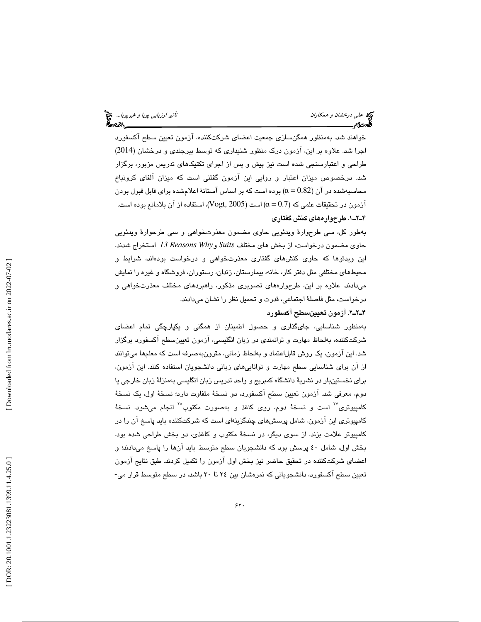خواهند شد. بهمنظور همگن $\omega$ ازی جمعیت اعضای شرکتکننده، آزمون تعیین سطح آکسفورد اجرا شد. علاوه بر اين، آزمون درك منظور شنيداري كه توسط بيرجندي و درخشان (2014) طراحی و اعتبارسنجی شده است نیز پیش و پس از اجرای تکنیکهای تدریس مزبور، برگزار شد. درخصوص ميزان اعتبار و روايي اين آزمون گفتني است كه ميزان آلفاي كرونباخ محاسبهشده در آن  $\alpha=0.82)$  بوده است كه بر اساس آستانهٔ اعلامشده برای قابل قبول بودن آزمون در تحقيقات علمي كه (0.7  $\alpha$  ) است (2005, Vogt, 2005)، استفاده از آن بلامانع بوده است. . 1ـ2ـ4 طرحواره يها كنش گفتار ي

بهطور كل، سى طرحوارهٔ ويدئويي حاوى مضمون معذرتخواهى و سى طرحوارهٔ ويدئويي *Why Reasons 13* استخراج شدند. حاو ي مضمون درخواست، از بخش هاي مختلف *Suits* و ین ویدئوها که حاوی کنش،های گفتاری معذرتخواهی و درخواست بودهاند، شرایط و ا محيط هاي مختلفي مثل دفتر كار، خانه، بيمارستان، زندان، رستوران، فروشگاه و غيره را نمايش میدادند. علاوه بر این، طرحوارههای تصویری مذکور، راهبردهای مختلف معذرتخواهی و درخواست، مثل فاصلهٔ اجتماعی، قدرت و تحمیل نظر را نشان میدادند.

#### . 2ـ2ـ4 آزمون تعيينسطح آكسفورد

بهمنظور شناسايی، جایگذاری و حصول اطمینان از همگنی و یکپارچگی تمام اعضای شركتكننده، بهلحاظ مهارت و توانمندي در زبان انگليسي، آزمون تعيينسطح آكسفورد برگزار شد. این ازمون، یک روش قابل|عتماد و بهلحاظ زمانی، مقرونبهصرفه است که معلمها میتوانند از ان برای شناسایی سطح مهارت و تواناییهای زبانی دانشجویان استفاده کنند. این ازمون، براي نخستينبار در نشريهٔ دانشگاه كمبريج و واحد تدريس زبان انگليسي بهمنزلهٔ زبان خارجي يا دوم، معرفی شد. آزمون تعیین سطح آكسفورد، دو نسخهٔ متفاوت دارد؛ نسخهٔ اول، یک نسخهٔ کامپيوتری<sup>۲۷</sup> است و نسخهٔ دوم، روی کاغذ و بهصورت مکتوب<sup>۲۸</sup> انجام میشود. نسخهٔ كامپيوتري اين آزمون، شامل پرسشهاي چندگزينهاي است كه شركتكننده بايد پاسخ آن را در كامپيوتر علامت بزند. از سوی ديگر، در نسخهٔ مكتوب و كاغذی، دو بخش طراحی شده بود. بخش اول، شامل ٤٠ پرسش بود كه دانشجويان سطح متوسط بايد انها را پاسخ ميدادند؛ و اعضاى شركتكننده در تحقيق حاضر نيز بخش اول آزمون را تكميل كردند. طبق نتايج آزمون تعيين سطح آكسفورد، دانشجويانی كه نمرهشان بين ٢٤ تا ٣٠ باشد، در سطح متوسط قرار می-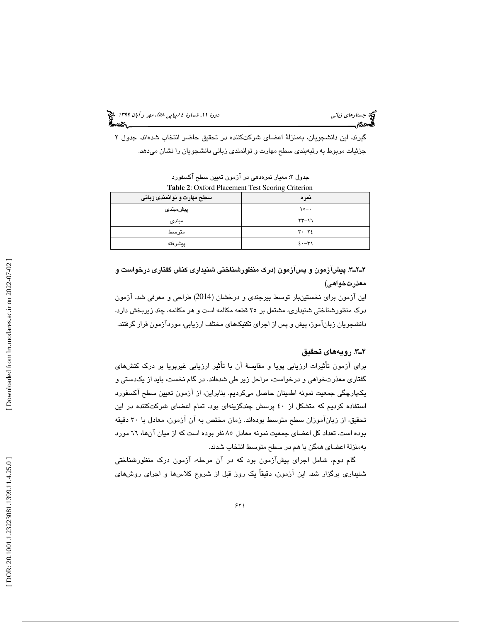(پياپي 58)، مهر و آبان 1399 جستارهاي زباني دورة ،11 شمارة 4

گيرند. اين دانشجويان، بهمنزلهٔ اعضای شرکتکننده در تحقيق حاضر انتخاب شدهاند. جدول ۲ جزئيات مربوط به رتبهبندي سطح مهارت و توانمندي زباني دانشجويان را نشان ميدهد.

| <b>Table 2:</b> Oxford Placement Test Scoring Criterion |                                       |  |
|---------------------------------------------------------|---------------------------------------|--|
| سطح مهارت و توانمندی زبانی                              | نمرہ                                  |  |
| پیشمبتدی                                                | $\lambda$ $\circ$ $\rightarrow$       |  |
| مبتدى                                                   | $57 - 17$                             |  |
| متو سط                                                  | $\mathbf{y} \cdot - \mathbf{y} \cdot$ |  |
| ييشرفته                                                 | $2. -1$                               |  |

جدول 2: معيار نمرهدهي در آزمون تعيين سطح آكسفورد

پ. 3ـ2ـ4 يشآزمون و پسآزمون (درك منظورشناخت ي شنيداري كنش گفتار ي درخواست و معذرتخواهي)

اين آزمون براي نخستينبار توسط بيرجندي و درخشان (2014) طراحي و معرفي شد. آزمون ا درک منظورشناختی شنیداری، مشتمل بر ٢٥ قطعه مکالمه است و هر مکالمه، چند زیربخش دارد. دانشجويان زبانآموز، پيش و پس از اجراي تكنيكهاي مختلف ارزيابي، موردآزمون قرار گرفتند.

#### ۴ـ۳. رويههاى تحقيق

برای آزمون تأثيرات ارزيابي پويا و مقايسهٔ آن با تأثير ارزيابي غيرپويا بر درک کنشهای گفتاری معذرتخواهی و درخواست، مراحل زیر طی شدهاند. در گام نخست، باید از یکدستی و يكپارچگى جمعيت نمونه اطمينان حاصل مىكرديم. بنابراين، از ازمون تعيين سطح اكسفورد استفاده كرديم كه متشكل از ٤٠ پرسش چندگزينهای بود. تمام اعضای شركتكننده در اين تحقيق، از زبانآموزان سطح متوسط بودهاند. زمان مختص به آن آزمون، معادل با ٣٠ دقيقه بوده است. تعداد كل اعضاي جمعيت نمونه معادل ٨٥ نفر بوده است كه از ميان آنها، ٦٦ مورد بهمنزلة اعضاى همگن با هم در سطح متوسط انتخاب شدند.

گام دوم، شامل اجرای پیشازمون بود که در ان مرحله، ازمون درک منظورشناختی شنیداری برگزار شد. این ازمون، دقیقاً یک روز قبل از شروع کلاسها و اجرای روشهای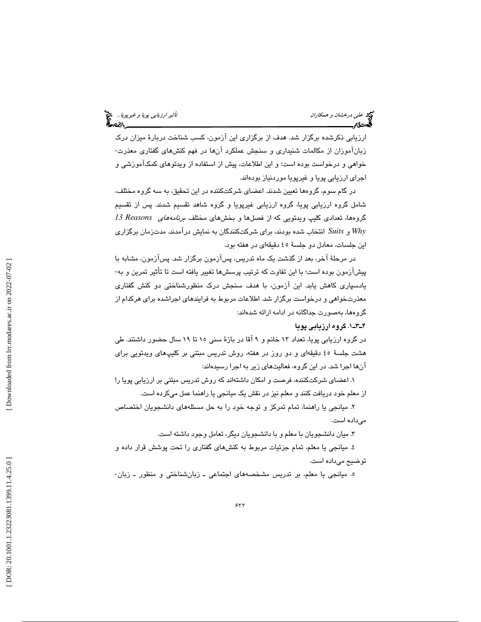ارزيابي ذكرشده برگزار شد. هدف از برگزاري اين آزمون، كسب شناخت دربارهٔ ميزان درک زبانآموزان از مكالمات شنيداري و سنجش عملكرد آنها در فهم كنشهاي گفتاري معذرت-خواهي و درخواست بوده است؛ و اين اطلاعات، پيش از استفاده از ويدئوهاي كمكآموزشي و اجراي ارزيابي پويا و غيرپويا موردنياز بودهاند.

در گام سوم، گروهها تعيين شدند. اعضا ي شركتكننده در ا ين تحقيق، به سه گروه مختلف، شامل گروه ارزيابي پويا، گروه ارزيابي غيرپويا و گروه شاهد تقسيم شدند. پس از تقسيم گروهها، تعدادی کلیپ ویدئویی که از فصلها و بخشهای مختلف *برنامههای Reasons 13 Reasons Suits* انتخاب شده بودند، برا ي شركتكنندگان به نمايش درآمدند. مدتزمان برگزار ي *Why* و اين جلسات، معادل دو جلسة ٤٥ دقيقهاي در هفته بود. ا

در مرحلهٔ آخر، بعد از گذشت يک ماه تدريس، پسآزمون برگزار شد. پسآزمون، مشابه با پيشآزمون بوده است؛ با اين تفاوت كه ترتيب پرسشها تغيير يافته است تا تأثير تمرين و به-يادسپاري كاهش يابد. اين آزمون، با هدف سنجش درك منظورشناختي دو كنش گفتاري معذرتخواهي و درخواست برگزار شد. اطلاعات مربوط به فرايندهاي اجراشده براي هركدام از گروهها، بهصورت جداگانه در ادامه ارائه شدهاند:

#### . 1ـ3ـ4 گروه ارزيابي پو يا

در گروه ارزيابي پويا، تعداد ١٣ خانم و ٩ آقا در بازهٔ سنی ١٥ تا ١٩ سال حضور داشتند. طي هشت جلسهٔ ٤٥ دقیقهای و دو روز در هفته، روش تدریس مبتنی بر کلیپهای ویدئویی برای آنها اجرا شد. در اين گروه، فعاليتهای زير به اجرا رسيدهاند:

۱. اعضای شرکتکننده، فرصت و امکان داشتهاند که روش تدریس مبتنی بر ارزیابی پویا را از معلم خود دریافت كنند و معلم نیز در نقش یک میانجی یا راهنما عمل میكرده است.

۲. میانجی یا راهنما، تمام تمرکز و توجه خود را به حل مسئلههای دانشجویان اختصاص مىداده است.

۳. میان دانشجویان با معلم و با دانشجویان دیگر، تعامل وجود داشته است.

٤. میانجی یا معلم، تمام جزئیات مربوط به کنشهای گفتاری را تحت پوشش قرار داده و توضيح مىداده است.

ه. میانجی یا معلم، بر تدریس مشخصههای اجتماعی ــ زبانشناختی و منظور ــ زبان-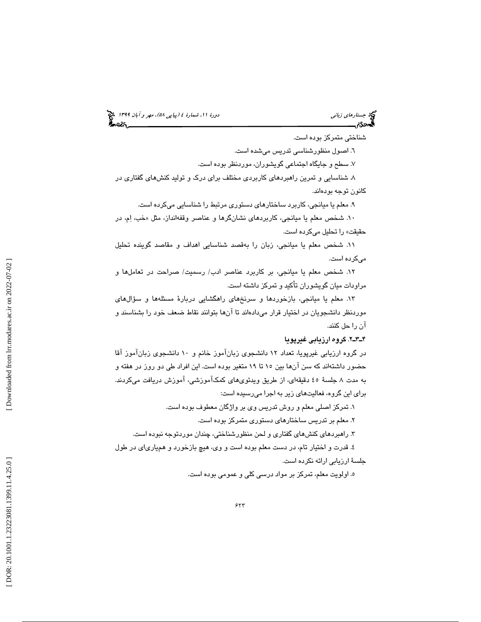(پياپي 58)، مهر و آبان 1399 جستارهاي زباني دورة ،11 شمارة 4

شناختی متمركز بوده است.

٦. اصىول منظورشناسى تدريس مىشده است.

۷. سطح و جایگاه اجتماعی گویشوران، موردنظر بوده است.

۸. شناسایی و تمرین راهبردهای کاربردی مختلف برای درک و تولید کنشهای گفتاری در كانون توجه بودهاند.

۹. معلم یا میانجی، کاربرد ساختارهای دستوری مرتبط را شناسایی میکرده است.

۱۰. شخص معلم يا ميانجي، كاربردهاي نشانگرها و عناصر وقفهانداز، مثل «خب، اِم، در حقيقت» را تحليل مىكرده است.

١١. شخص معلم يا ميانجي، زبان را بهقصد شناسايي اهداف و مقاصد گوينده تحليل میکرده است.

1٢. شخص معلم يا ميانجي، بر كاربرد عناصر ادب/ رسميت/ صراحت در تعاملها و مراودات ميان گويشوران تأكيد و تمركز داشته است.

۱۳. معلم يا ميانجي، بازخوردها و سرنخهاي راهگشايي دربارهٔ مسئلهها و سؤالهاي موردنظر دانشجویان در اختیار قرار میدادهاند تا انها بتوانند نقاط ضعف خود را بشناسند و آن را حل كنند .

#### ۴ـ۳ــ۲. گروه ارزيابي غيرپويا

در گروه ارزيابي غيرپويا، تعداد ١٢ دانشجوي زبانآموز خانم و ١٠ دانشجوي زبانآموز آقا حضور داشتهاند كه سن آنها بين ١٥ تا ١٩ متغير بوده است. اين افراد طي دو روز در هفته و به مدت ۸ جلسهٔ ٤٥ دقیقهای، از طریق ویدئویهای کمکاموزشی، اموزش دریافت میکردند. برای این گروه، فعالیتهای زیر به اجرا میرسیده است:

۰. تمرکز اصلی معلم و روش تدريس وی بر واژگان معطوف بوده است.

۲. معلم بر تدریس ساختارهای دستوری متمرکز بوده است.

۳. راهبردهای کنشهای گفتاری و لحن منظورشناختی، چندان موردتوجه نبوده است.

٤. قدرت و اختيار تام، در دست معلم بوده است و وي، هيچ بازخورد و همڀارياي در طول جلسهٔ ارزیابی ارائه نکرده است.

ه. اولويت معلم، تمركز بر مواد درسى كلى و عمومى بوده است.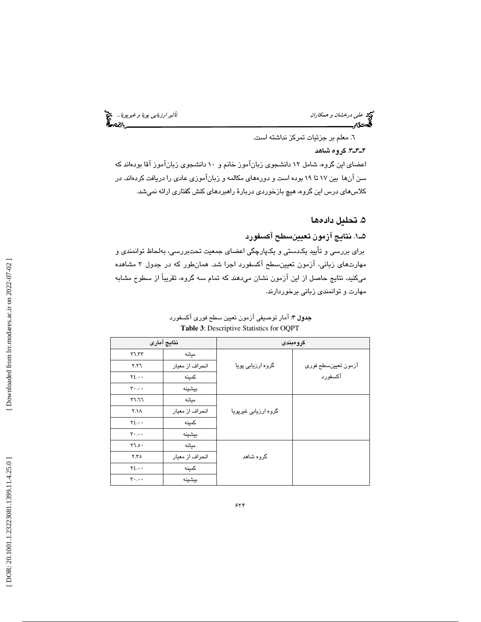تأثير *ارزيابى پويا و غيرپويا...*<br>محمد علم ايران<br>محمد السياسات ايراني پويانده

علي درخشا*ن و همكاران*<br>ا**گيردگ**رم استانسيسيا

. معلم بر جزئيات تمركز نداشته است. 6

#### . 3ـ3ـ4 گروه شاهد

اعضای این گروه، شامل ١٢ دانشجوی زبانآموز خانم و ١٠ دانشجوی زبانآموز آقا بودهاند كه سن آنها بين ١٧ تا ١٩ بوده است و دورههاي مكالمه و زبانآموزي عادي را دريافت كردهاند. در كلاس،های درس این گروه، هیچ بازخوردی دربارهٔ راهبردهای كنش گفتاری ارائه نمیشد.

#### . 5 تحليل دادهها

. 1ـ5 نتا يج آزمون تعيينسطح آكسفور د

برای بررسی و تأیید یکدستی و یکپارچگی اعضای جمعیت تحتبررسی، بهلحاظ توانمندی و مهارتهای زبانی، آزمون تعیینسطح آکسفورد اجرا شد. همانطور که در جدول ۳ مشاهده میکنید، نتایج حاصل از این ازمون نشان میدهند که تمام سه گروه، تقریباً از سطوح مشابه مهارت و توانمندی زبانی برخوردارند.

|                                                | نتايج آمارى     |                      | گرومېندى            |
|------------------------------------------------|-----------------|----------------------|---------------------|
| Y7.57                                          | ميانه           |                      |                     |
| Y.Y                                            | انحراف از معيار | گروہ ارزیابی پویا    | آزمون تعيينسطح فوري |
| $Y\S.$                                         | كمينه           |                      | آكسفورد             |
| $\mathbf{y} \cdot \mathbf{y} \cdot \mathbf{y}$ | بيشينه          |                      |                     |
| 57.77                                          | ميانه           |                      |                     |
| ۲.۱۸                                           | انحراف از معيار | گروہ ارزیابی غیرپویا |                     |
| $Y\S.$                                         | كمينه           |                      |                     |
| $\mathbf{y} \cdot \mathbf{y} \cdot \mathbf{y}$ | بيشينه          |                      |                     |
| Y7.0.                                          | مىانە           |                      |                     |
| Y.Y o                                          | انحراف از معيار | گروہ شاھد            |                     |
| $Y\S$                                          | كمينه           |                      |                     |
| $\mathbf{y} \cdot \mathbf{y} \cdot \mathbf{y}$ | بيشينه          |                      |                     |

جدول 3: آمار توصيفي آزمون تعيين سطح فوري آكسفورد **Table 3** : Descriptive Statistics for OQPT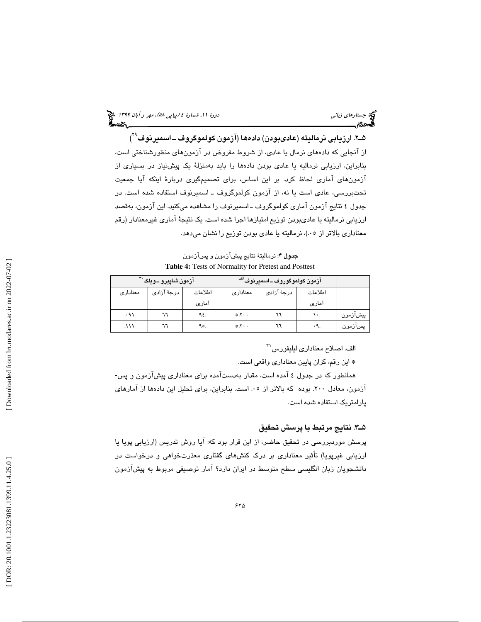| دورهٔ ۱۱، شمارهٔ ٤ (پی <i>ا پی ۵۸)، مهر و آبان ۱۳۹۹</i> چ <mark>خ</mark> | کی جستار <i>های زبانی</i><br>کمحم <b>دی میستند</b> |
|--------------------------------------------------------------------------|----------------------------------------------------|
| ీంల <sub>ు</sub>                                                         |                                                    |

شـ۲. ارزيابي نرماليته (عادىبودن) دادەھا (آزمون كولموگروف ــ اسميرنوف<sup>۲۹</sup>) از آنجايي كه دادههاي نرمال يا عادي، از شروط مفروض در آزمونهاي منظورشناختي است، بنابراین، ارزیابی نرمالیه یا عادی بودن دادهها را باید بهمنزلهٔ یک پیشنیاز در بسیاری از ازمونهای اماری لحاظ کرد. بر این اساس، برای تصمیمگیری دربارهٔ اینکه ایا جمعیت تحتبررسی، عادی است یا نه، از ازمون کولموگروف ـ اسمیرنوف استفاده شده است. در جدول ٤ نتايج ازمون امارى كولموگروف ـ اسميرنوف را مشاهده مىكنيد. اين ازمون، بەقصد ارزيابي نرماليته يا عاديبودن توزيع امتيازها اجرا شده است. يک نتيجهٔ آماري غيرمعنادار (رقم معناداری بالاتر از ۰۵)، نرماليته يا عادی بودن توزيع را نشان مىدهد.

جدول 4: نرماليتة نتايج پيشآزمون و پسآزمون **Table 4:** Tests of Normality for Pretest and Posttest

| ِ آزمون شاپیرو ــویلک`" |             |         | ِ آزمون کولموگوروف ــ اسم <b>یرنوف<sup>اڭ</sup> ِ</b> |             |         |          |
|-------------------------|-------------|---------|-------------------------------------------------------|-------------|---------|----------|
| معنادارى                | درجهٔ آزادی | اطلاعات | معنادارى                                              | درجهٔ آزادی | اطلاعات |          |
|                         |             | اماری   |                                                       |             | اماری   |          |
| ۰۹۱.                    | ٦٦          | ۹٤.     | $*X \cdot$                                            |             | ١٠.     | پیشآزمون |
| ۱۱۱.                    | ٦٦          | ۹٥.     | $*X \cdot$                                            |             | .9.     | پسازمون  |

الف. اصلاح معناداري ليليفورس'<sup>۲</sup>

\* ا ين رقم، كران پايين معنادار ي واقع ي است.

همانطور كه در جدول ٤ آمده است، مقدار بهدستآمده براي معناداري پيشآزمون و پس-آزمون، معادل ٢٠٠. بوده كه بالاتر از ٠٥. است. بنابراين، براي تحليل اين دادهها از آمارهاي پارامتر يك استفاده شده است.

#### هـ٣. نتايج مرتبط با پرسش تحقيق

پرسش موردبررسي در تحقيق حاضر، از اين قرار بود كه: آيا روش تدريس (ارزيابي پويا يا ارزيابي غيرپويا) تاثير معناداري بر درک کنشهای گفتاری معذرتخواهی و درخواست در دانشجويان زبان انگليسي سطح متوسط در ايران دارد؟ آمار توصيفي مربوط به پيشآزمون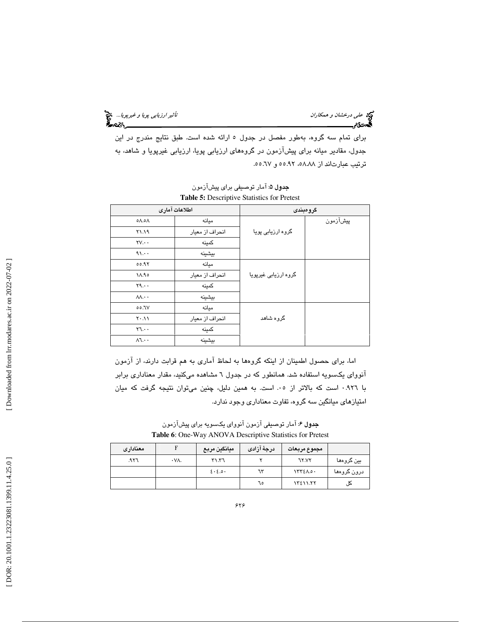ئ*اثير ارزيابى پويا و غيرپويا...*. چ<mark>خ</mark><br>استانستان استان پوچ پ

علي درخشا*ن و همكاران*<br>گ**يدن**گير استانسي پويابي

برای تمام سه گروه، بهطور مفصل در جدول ٥ ارائه شده است. طبق نتایج مندرج در این جدول، مقادیر میانه برای پیشآزمون در گروههای ارزیابی پویا، ارزیابی غیرپویا و شاهد، به ترتيب عبارتاند از ۸۸.۸۵، ۵۵.۹۲ و ۲۷.۵۵.

|                        | اطلاعات آمارى   | گرومېندى             |          |  |
|------------------------|-----------------|----------------------|----------|--|
| ۸۵.۸ه                  | ميانه           |                      | پیشآزمون |  |
| ۲۱.۱۹                  | انحراف از معيار | گروہ ارزیابی پویا    |          |  |
| $\forall V \cdots$     | كمينه           |                      |          |  |
| $\eta_1 \ldots$        | بيشينه          |                      |          |  |
| 00.97                  | مىانە           |                      |          |  |
| ١٨.٩٥                  | انحراف از معيار | گروہ ارزیابی غیرپویا |          |  |
| $Y_1 \cdots$           | كمينه           |                      |          |  |
| $M \cdot \cdot$        | بيشينه          |                      |          |  |
| ٦٧.٥٥                  | مىانە           |                      |          |  |
| $Y \cdot \Lambda$      | انحراف از معيار | گروه شاهد            |          |  |
| $Y \mathcal{L} \cdots$ | كمينه           |                      |          |  |
| $\Lambda$ l            | بيشينه          |                      |          |  |

**جدول ۵**: آمار توصيفي براي پيشآزمون **Table 5:** Descriptive Statistics for Pretest

اما، برای حصول اطمینان از اینکه گروهها به لحاظ اماری به هم قرابت دارند، از ازمون انووای یکسویه استفاده شد. همانطور که در جدول ٦ مشاهده میکنید، مقدار معناداری برابر با ٩٢٦.٠ است كه بالاتر از ٠٥. است. به همين دليل، چنين مىتوان نتيجه گرفت كه ميان امتيازهاي ميانگين سه گروه، تفاوت معناداري وجود ندارد.

**جدول ۶**: آمار توصيفي آزمون آنوواي يكسويه براي پيشآزمون **Table 6** : One-Way ANOVA Descriptive Statistics for Pretest

| معنادارى |             | ميانگين مربع        | درجهٔ آزادی | مجموع مربعات |             |
|----------|-------------|---------------------|-------------|--------------|-------------|
| ۳۲٦.     | $\cdot$ VA. | 51.77               |             | <b>77.VY</b> | بين گروهها  |
|          |             | $2 \cdot 2 \cdot 3$ | ٦٣          | 1772A.0.     | درون گروهها |
|          |             |                     | ٦٥          | 13211.77     | ڪل          |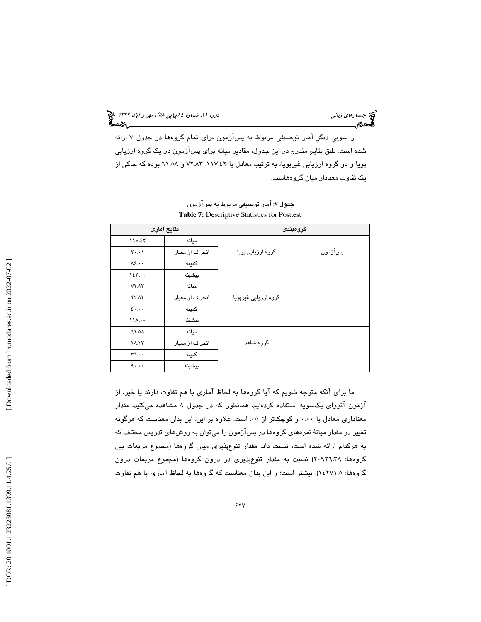از سویی دیگر امار توصیفی مربوط به پسازمون برای تمام گروهها در جدول ۷ ارائه شده است. طبق نتايج مندرج در اين جدول، مقادير ميانه براي پسآزمون در يک گروه ارزيابي پويا و دو گروه ارزيابي غيرپويا، به ترتيب معادل با ١١٧.٤٢، ٧٢.٨٣ و ٦١.٥٨ بوده كه حاكي از يك تفاوت معنادار ميان گروههاست .

|                                                   | نتايج آمارى     |                      | گرومېندى |
|---------------------------------------------------|-----------------|----------------------|----------|
| 11V.ET                                            | ميانه           |                      |          |
| $Y \cdot \cdot \cdot$                             | انحراف از معيار | گروہ ارزیابی پویا    | پسآزمون  |
| $\Lambda$ ٤                                       | كمينه           |                      |          |
| 125.44                                            | بيشينه          |                      |          |
| $VY \Lambda Y$                                    | ميانه           |                      |          |
| <b>TT.AT</b>                                      | انحراف از معيار | گروہ ارزیابی غیرپویا |          |
| $\epsilon \cdots$                                 | كمينه           |                      |          |
| 111                                               | بيشينه          |                      |          |
| ۸۵.۱۲                                             | ميانه           |                      |          |
| ۱۸.۱۳                                             | انحراف از معيار | گروہ شاھد            |          |
| $FT.$ .                                           | كمينه           |                      |          |
| $\mathcal{A} \cdot \mathcal{A} \cdot \mathcal{A}$ | بيشينه          |                      |          |

جدول 7: آمار توصيفي مربوط به پسآزمون **Table 7:** Descriptive Statistics for Posttest

اما برای انکه متوجه شويم که ايا گروهها به لحاظ اماری با هم تفاوت دارند يا خير، از ازمون انووای یکسویه استفاده کردهایم. همانطور که در جدول ۸ مشاهده میکنید، مقدار معناداري معادل با ٠٠٠٠ و كوچكتر از ٠٥. است. علاوه بر اين، اين بدان معناست كه هرگونه تغییر در مقدار میانهٔ نمرههای گروهها در پسازمون را میتوان به روشهای تدریس مختلف که به هركدام ارائه شده است، نسبت داد. مقدار تنوعپذيري ميان گروهها (مجموع مربعات بين گروهها: 20926.38) نسبت به مقدار تنوعپذيري در درون گروهها (مجموع مربعات درون گروهها: ١٤٢٧١.٥)، بيشتر است؛ و اين بدان معناست كه گروهها به لحاظ آماري با هم تفاوت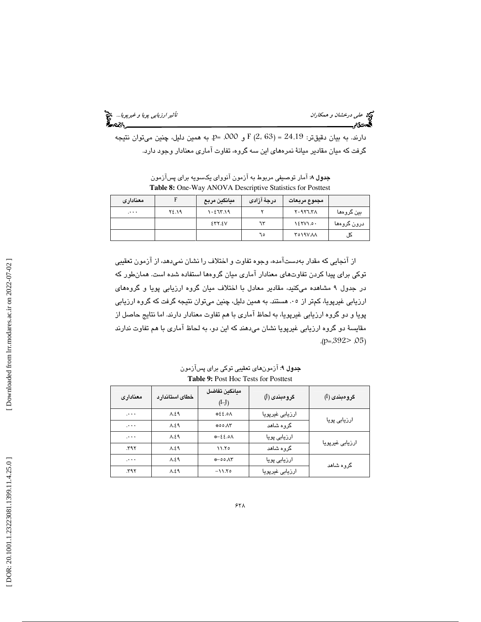تأثير *ارزيابى پويا و غيرپويا...*<br>مح**يد كارستان بويا**ر<br>المحيد كارستان بويار

علي درخشان و همكاران<br>**تأثير علي درخ**شان و همكاران

دارند. به بيان دقيقتر: 24.19 = F (2، 63) و 000. =9. به همين دليل، چنين ميتوان نتيجه گرفت كه ميان مقادير ميانهٔ نمرههاي اين سه گروه، تفاوت آماري معنادار وجود دارد.

| معنادارى |       | ميانگين مربع | درجهٔ آزادی | مجموع مربعات  |             |
|----------|-------|--------------|-------------|---------------|-------------|
| $\cdots$ | ۲٤.۱۹ | 1.517.19     |             | Y.9Y7.7A      | بین گروهها  |
|          |       | 257.5V       | ٦٣          | $125Y$ $1.0.$ | درون گروهها |
|          |       |              | ٦٥          | TO YAV AA     | ڪل          |

جدول 8: آمار توصيفي مربوط به آزمون آنوواي يكسويه براي پسآزمون **Table 8:** One-Way ANOVA Descriptive Statistics for Posttest

از انجايي كه مقدار بهدست۱مده، وجوه تفاوت و اختلاف را نشان نميدهد، از ازمون تعقيبي توكي براي پيدا كردن تفاوتهاي معنادار آماري ميان گروهها استفاده شده است. همانطور كه در جدول ۹ مشاهده مىكنيد، مقادير معادل با اختلاف ميان گروه ارزيابى پويا و گروههاى ارزیابی غیرپویا، کمتر از ۰۰۵ هستند. به همین دلیل، چنین میتوان نتیجه گرفت که گروه ارزیابی پويا و دو گروه ارزيابي غيرپويا، به لحاظ آماري با هم تفاوت معنادار دارند. اما نتايج حاصل از مقايسهٔ دو گروه ارزيابی غيرپويا نشان میدهند که اين دو، به لحاظ اماری با هم تفاوت ندارند .( p=.392> .05 )

| معنادارى | خطاى استاندارد | مبانكين تفاضل<br>$(I-J)$ | گرومېندی (J)    | گرومېندي (I)    |  |
|----------|----------------|--------------------------|-----------------|-----------------|--|
| $\cdots$ | $\Lambda.59$   | 42.33                    | ارزيابى غيرپويا | ارزيابى پويا    |  |
| $\cdots$ | $\Lambda.59$   | $*00 \Lambda r$          | گروه شاهد       |                 |  |
| $\cdots$ | A.59           | $A = \{5, 0, \ldots\}$   | ارزيابى پويا    |                 |  |
| ۳۹۲.     | A.59           | 11.50                    | گروه شاهد       | ارزيابى غيرپويا |  |
| $\cdots$ | $\Lambda.59$   | 00.17                    | ارزيابى پويا    | گروہ شاھد       |  |
| .595     | A.59           | $-11.70$                 | ارزيابى غيرپويا |                 |  |
|          |                |                          |                 |                 |  |

**جدول ۹**: آزمونهای تعقیبی توکی برای پسآزمون **Table 9:** Post Hoc Tests for Posttest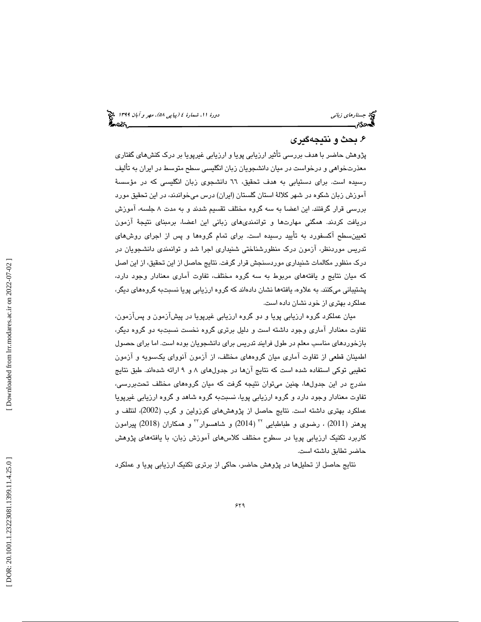#### . بحث و نتيجهگيري 6

پژوهش حاضر با هدف بررسی تأثیر ارزیابی پویا و ارزیابی غیرپویا بر درک کنشهای گفتاری معذرتخواهي و درخواست در ميان دانشجويان زبان انگليسي سطح متوسط در ايران به تأليف رسیده است. برای دستیابی به هدف تحقیق، ٦٦ دانشجوی زبان انگلیسی که در مؤسسهٔ آموزش زبان شكوه در شهر كلالهٔ استان گلستان (ايران) درس ميخواندند، در اين تحقيق مورد بررسی قرار گرفتند. این اعضا به سه گروه مختلف تقسیم شدند و به مدت ۸ جلسه، آموزش دريافت كردند. همگنی مهارتها و توانمندی،ای زبانی این اعضا، برمبنای نتیجهٔ ازمون تعیینسطح اکسفورد به تایید رسیده است. برای تمام گروهها و پس از اجرای روشهای تدريس موردنظر، ازمون درک منظورشناختی شنیداری اجرا شد و توانمندی دانشجویان در درك منظور مكالمات شنيداري موردسنجش قرار گرفت. نتا يج حاصل از ا ين تحقيق، از ا ين اصل كه ميان نتايج و يافتههاى مربوط به سه گروه مختلف، تفاوت امارى معنادار وجود دارد، پشتیبانی میکنند. به علاوه، یافتهها نشان دادهاند که گروه ارزیابی پویا نسبتبه گروههای دیگر، عملكرد بهتر ي از خود نشان داده است.

ميان عملكرد گروه ارزيابي پويا و دو گروه ارزيابي غيرپويا در پيشآزمون و پسآزمون، تفاوت معنادار اماری وجود داشته است و دلیل برتری گروه نخست نسبتبه دو گروه دیگر، بازخوردهاى مناسب معلم در طول فرايند تدريس براى دانشجويان بوده است. اما براى حصول اطمينان قطعي از تفاوت اماري ميان گروههاي مختلف، از ازمون انوواي يكسويه و ازمون تعقيبي توكي استفاده شده است كه نتايج آنها در جدولهاي ٨ و ٩ ارائه شدهاند. طبق نتايج مندرج در اين جدولها، چنين ميتوان نتيجه گرفت كه ميان گروههای مختلف تحتبررسی، تفاوت معنادار وجود دارد و گروه ارزيابي پويا، نسبتبه گروه شاهد و گروه ارزيابي غيرپويا عملكرد بهترى داشته است. نتايج حاصل از پژوهشهاى كوزولين و گرب (2002)، لنتلف و پوهنر (2011) ، رضوی و طباطبایی <sup>۲۲</sup> (2014) و شاهسوار<sup>۲۳</sup> و همکاران (2018) پیرامون كاربرد تكنيك ارزيابي پويا در سطوح مختلف كلاس هاى آموزش زبان، با يافتههاى پژوهش حاضر تطابق داشته است.

نتايج حاصل از تحليلها در پژوهش حاضر، حاكي از برتري تكنيك ارزيابي پويا و عملكرد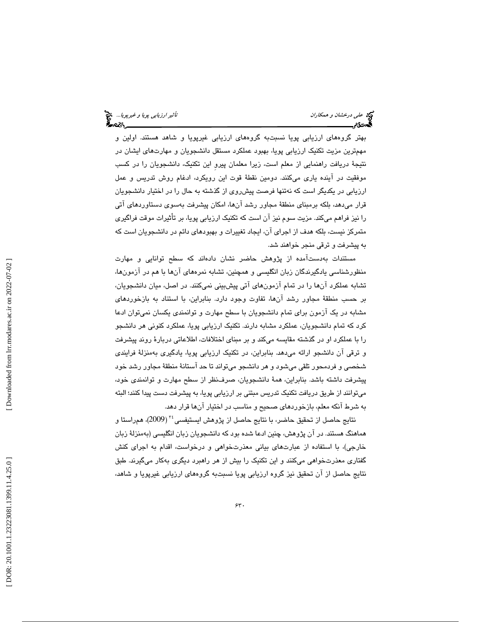بهتر گروههای ارزيابی پويا نسبتبه گروههای ارزيابی غيرپويا و شاهد هستند. اولين و مهمترين مزيت تكنيك ارزيابي پويا، بهبود عملكرد مستقل دانشجويان و مهارت $\epsilon$ اي ايشان در نتيجهٔ دريافت راهنمايي از معلم است، زيرا معلمان پيرو اين تكنيك، دانشجويان را در كسب موفقيت در اينده يارى مىكنند. دومين نقطهٔ قوت اين رويكرد، ادغام روش تدريس و عمل ارزيابي در يكديگر است كه نهتنها فرصت پيشروي از گذشته به حال را در اختيار دانشجويان قرار میدهد، بلکه برمبنای منطقهٔ مجاور رشد انها، امکان پیشرفت بهسوی دستاوردهای اتی را نيز فراهم مىكند. مزيت سوم نيز ان است كه تكنيک ارزيابى پويا، بر تأثيرات موقت فراگيرى متمركز نيست، بلكه هدف از اجراي آن، ايجاد تغييرات و بهبودهاي دائم در دانشجويان است كه به پیشرفت و ترقی منجر خواهند شد.

مستندات بهدستآمده از پژوهش حاضر نشان دادهاند كه سطح توانايي و مهارت منظورشناسی يادگيرندگان زبان انگليسی و همچنين، تشابه نمرههای آنها با هم در آزمونها، تشابه عملکرد انها را در تمام ازمونهای اتی پیشبینی نمیکنند. در اصل، میان دانشجویان، بر حسب منطقهٔ مجاور رشد آنها، تفاوت وجود دارد. بنابراین، با استناد به بازخوردهای مشابه در یک ازمون برای تمام دانشجویان با سطح مهارت و توانمندی یکسان نمیتوان ادعا كرد كه تمام دانشجويان، عملكرد مشابه دارند. تكنيک ارزيابي پويا، عملكرد كنونی هر دانشجو را با عملكرد او در گذشته مقايسه مىكند و بر مبناى اختلافات، اطلاعاتى دربارهٔ روند پيشرفت و ترقی ان دانشجو ارائه میدهد. بنابراین، در تکنیک ارزیابی پویا، یادگیری بهمنزلهٔ فرایندی شخصی و فردمحور تلقی میشود و هر دانشجو میتواند تا حد استانهٔ منطقهٔ مجاور رشد خود پيشرفت داشته باشد. بنابراين، ةهم دانشجويان، صرفنظر از سطح مهارت و توانمند ي خود، میتوانند از طریق دریافت تکنیک تدریس مبتنی بر ارزیابی پویا، به پیشرفت دست پیدا کنند؛ البته به شرط آنكه معلم، بازخوردهاي صحيح و مناسب در اختيار آنها قرار دهد.

نتايج حاصل از تحقيق حاضر، با نتايج حاصل از پژوهش ايستيفسي <sup>۳</sup>۴ (2009)، همراستا و هماهنگ هستند. در آن پژوهش، چنین ادعا شده بود كه دانشجویان زبان انگلیسی (بهمنزلهٔ زبان خارجی)، با استفاده از عبارتهای بیانی معذرتخواهی و درخواست، اقدام به اجرای کنش گفتاری معذرتخواهی میکنند و این تکنیک را بیش از هر راهبرد دیگری بهکار میگیرند. طبق نتايج حاصل از آن تحقيق نيز گروه ارزيابي پويا نسبتبه گروههاي ارزيابي غيرپويا و شاهد،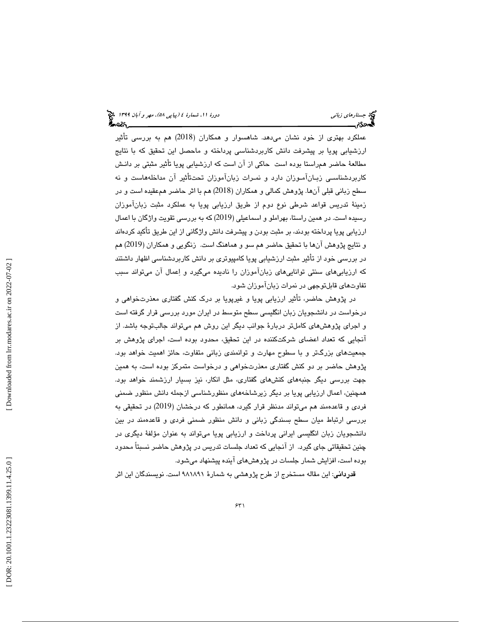عملکرد بهتری از خود نشان میدهد. شاهسوار و همکاران (2018) هم به بررسی تأثیر ارزشيابي پويا بر پيشرفت دانش كاربردشناسى پرداخته و ماحصل اين تحقيق كه با نتايج<br>مطالعهٔ حاضر همراستا بوده است حاكي از آن است كه ارزشيابي يويا تأثير مثبتي بر دانـش كاربردشناسـي زبـانآمـوزان دارد و نمـرات زبانآموزان تحتـتأثير آن مداخلههاست و نه سطح زبانی قبلی آنها. پژوهش کمالی و همکاران (2018) هم با اثر حاضر همعقیده است و در زمينهٔ تدريس قواعد شرطي نوع دوم از طريق ارزيابي پويا به عملكرد مثبت زبانآموزان رسیده است. در همین راستا، بهراملو و اسماعیلی (2019) که به بررسی تقویت واژگان با اعمال ارزيابي پويا پرداخته بودند، بر مثبت بودن و پيشرفت دانش واژگاني از اين طريق تاكيد كردهاند و نتايج پژوهش آنها با تحقيق حاضر هم سو و هماهنگ است. زنگويي و همكاران ( 2019) هم در بررسی خود از تأثیر مثبت ارزشیابی پویا كامپیوتری بر دانش كاربردشناسی اظهار داشتند كه ارزيابيهاي سنتي تواناييهاي زبانآموزان را ناديده ميگيرد و اعمال آن ميتواند سبب تفاوتهاي قابلتوجهي در نمرات زبانآموزان شود.

در پژوهش حاضر، تأثير ارزيابي پويا و غيرپويا بر درک کنش گفتاری معذرتخواهی و درخواست در دانشجويان زبان انگليسي سطح متوسط در ايران مورد بررس ي قرار گرفته است و اجرای پژوهش،ای کاملتر دربارهٔ جوانب دیگر این روش هم میتواند جالبتوجه باشد. از انجایی که تعداد اعضای شرکتکننده در این تحقیق، محدود بوده است، اجرای پژوهش بر جمعیتهای بزرگتر و با سطوح مهارت و توانمندی زبانی متفاوت، حائز اهمیت خواهد بود. پژوهش حاضر بر دو كنش گفتارى معذرتخواهى و درخواست متمركز بوده است، به همين جهت بررسی دیگر جنبههای کنشهای گفتاری، مثل انکار، نیز بسیار ارزشمند خواهد بود. همچنين ، اعمال ارزيابي پويا بر ديگر زيرشاخههاي منظورشناسي ازجمله دانش منظور ضمني فردي و قاعدهمند هم ميتواند مدنظر قرار گيرد ، همانطور كه درخشان (2019) در تحقيقي به بررسي ارتباط ميان سطح بسندگي زباني و دانش منظور ضمني فردي و قاعدهمند در بين دانشجويان زبان انگليسي ايراني پرداخت و ارزيابي پويا ميتواند به عنوان مؤلفهٔ ديگري در چنين تحقيقاتي جاي گيرد. از آنجايي كه تعداد جلسات تدريس در پژوهش حاضر نسبتاً محدود بوده است، افزايش شمار جلسات در پژوهشهای اينده پيشنهاد میشود.

ق**درداني**: اين مقاله مستخرج از طرح پژوهشي به شمارهٔ ۹۸۱۸۹۱ است. نويسندگان اين اثر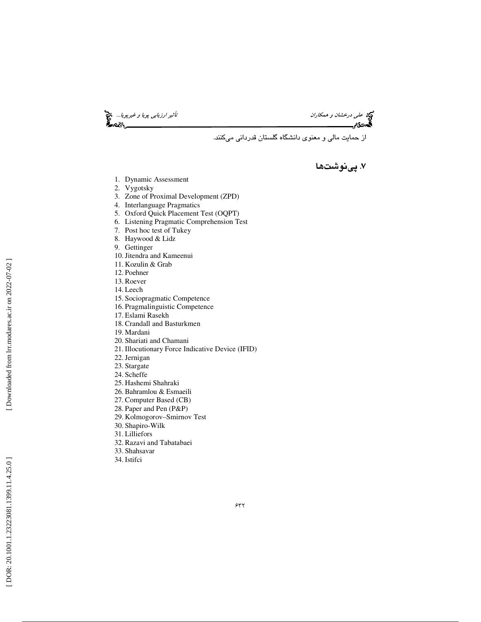تأثير *ارزيابى پويا و غيرپويا...*<br>محمد علم ايران<br>محمد السياسات ايراني پويانده

از حمايت مالي و معنوي دانشگاه گلستان قدرداني ميكنند .

### . 7 پينوشت ها

- 1. Dynamic Assessment
- 2. Vygotsky
- 3. Zone of Proximal Development (ZPD)
- 4. Interlanguage Pragmatics
- 5. Oxford Quick Placement Test (OQPT)
- 6. Listening Pragmatic Comprehension Test
- 7. Post hoc test of Tukey
- 8. Haywood & Lidz
- 9. Gettinger
- 10.Jitendra and Kameenui
- 11. Kozulin & Grab
- 12. Poehner
- 13. Roever
- 14. Leech
- 15. Sociopragmatic Competence
- 16. Pragmalinguistic Competence
- 17. Eslami Rasekh
- 18. Crandall and Basturkmen
- 19. Mardani
- 20. Shariati and Chamani
- 21. Illocutionary Force Indicative Device (IFID)
- 22.Jernigan
- 23. Stargate
- 24. Scheffe
- 25. Hashemi Shahraki
- 26. Bahramlou & Esmaeili
- 27. Computer Based (CB)
- 28. Paper and Pen (P&P)
- 29. Kolmogorov–Smirnov Test
- 30. Shapiro-Wilk
- 31. Lilliefors
- 32. Razavi and Tabatabaei
- 33. Shahsavar
- 34. Istifci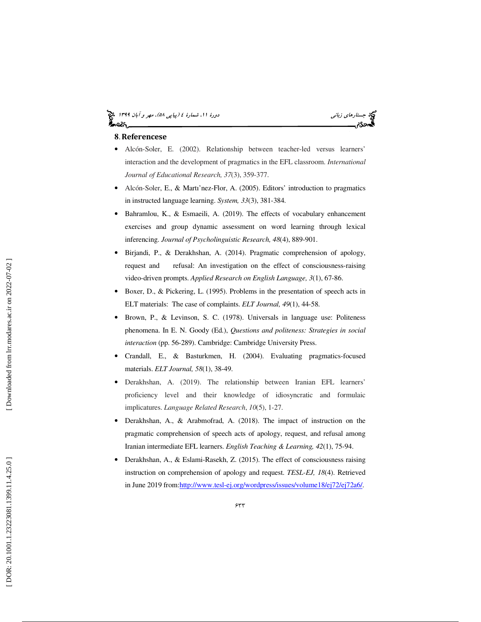## (پياپي 58)، مهر و آبان 1399 جستارهاي زباني دورة ،11 شمارة 4

#### **8**. Referencese

- Alcón-Soler, E. (2002). Relationship between teacher-led versus learners' interaction and the development of pragmatics in the EFL classroom. *International Journal of Educational Research, 37*(3), 359-377.
- Alcón-Soler, E., & Martı'nez-Flor, A. (2005). Editors' introduction to pragmatics in instructed language learning. *System, 33*(3), 381-384.
- Bahramlou, K., & Esmaeili, A. (2019). The effects of vocabulary enhancement exercises and group dynamic assessment on word learning through lexical inferencing. *Journal of Psycholinguistic Research, 48*(4), 889-901.
- Birjandi, P., & Derakhshan, A. (2014). Pragmatic comprehension of apology, request and refusal: An investigation on the effect of consciousness-raising video-driven prompts. *Applied Research on English Language, 3*(1), 67-86.
- Boxer, D., & Pickering, L. (1995). Problems in the presentation of speech acts in ELT materials: The case of complaints. *ELT Journal, 49*(1), 44 -58.
- Brown, P., & Levinson, S. C. (1978). Universals in language use: Politeness phenomena. In E. N. Goody (Ed.), *Questions and politeness: Strategies in social interaction* (pp. 56-289). Cambridge: Cambridge University Press.
- Crandall, E., & Basturkmen, H. (2004). Evaluating pragmatics-focused materials. *ELT Journal, 58*(1), 38-49.
- Derakhshan, A. (2019). The relationship between Iranian EFL learners' proficiency level and their knowledge of idiosyncratic and formulaic implicatures. *Language Related Research*, *10*(5), 1-27.
- Derakhshan, A., & Arabmofrad, A. (2018). The impact of instruction on the pragmatic comprehension of speech acts of apology, request, and refusal among Iranian intermediate EFL learners. *English Teaching & Learning, 42*(1), 75-94.
- Derakhshan, A., & Eslami-Rasekh, Z. (2015). The effect of consciousness raising instruction on comprehension of apology and request. *TESL-EJ, 18*(4). Retrieved in June 2019 from:http://www.tesl-ej.org/wordpress/issues/volume18/ej72/ej72a6/.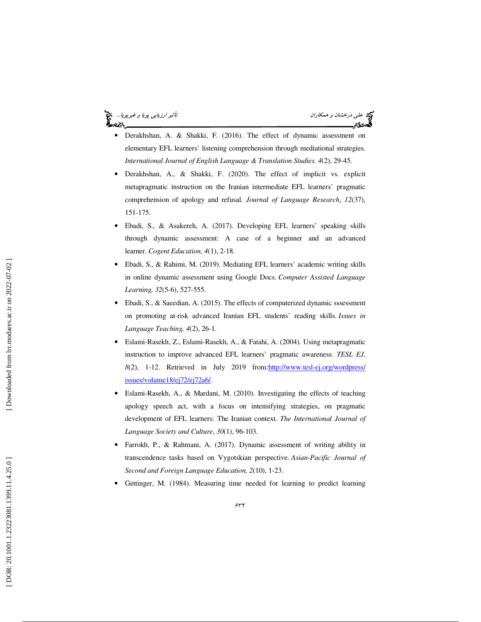#### تأثير *ارزيابى پويا و غيرپويا...*. چ<mark>چ</mark> ంజి.

# عل*ي حلي درخشان و همكاران*

- Derakhshan, A. & Shakki, F. (2016). The effect of dynamic assessment on elementary EFL learners' listening comprehension through mediational strategies. *International Journal of English Language & Translation Studies. 4*(2), 29-45.
- Derakhshan, A., & Shakki, F. (2020). The effect of implicit vs. explicit metapragmatic instruction on the Iranian intermediate EFL learners' pragmatic comprehension of apology and refusal. *Journal of Language Research*, *12*(37), 151-175.
- Ebadi, S., & Asakereh, A. (2017). Developing EFL learners' speaking skills through dynamic assessment: A case of a beginner and an advanced learner. *Cogent Education, 4*(1), 2-18.
- Ebadi, S., & Rahimi, M. (2019). Mediating EFL learners' academic writing skills in online dynamic assessment using Google Docs. *Computer Assisted Language Learning, 32*(5-6), 527-555.
- Ebadi, S., & Saeedian, A. (2015). The effects of computerized dynamic sssessment on promoting at-risk advanced Iranian EFL students' reading skills. *Issues in Language Teaching, 4*(2), 26-1.
- Eslami-Rasekh, Z., Eslami-Rasekh, A., & Fatahi, A. (2004). Using metapragmatic instruction to improve advanced EFL learners' pragmatic awareness. *TESL EJ*, 8(2), 1-12. Retrieved in July 2019 from: http://www.tesl-ej.org/wordpress/ issues/volume18/ej72/ej72a6/.
- Eslami-Rasekh, A., & Mardani, M. (2010). Investigating the effects of teaching apology speech act, with a focus on intensifying strategies, on pragmatic development of EFL learners: The Iranian context. *The International Journal of Language Society and Culture*, *30*(1), 96-103.
- Farrokh, P., & Rahmani, A. (2017). Dynamic assessment of writing ability in transcendence tasks based on Vygotskian perspective. *Asian-Pacific Journal of Second and Foreign Language Education, 2*(10), 1-23.
- Gettinger, M. (1984). Measuring time needed for learning to predict learning

Downloaded from lrr.modares.ac.ir on 2022-07-02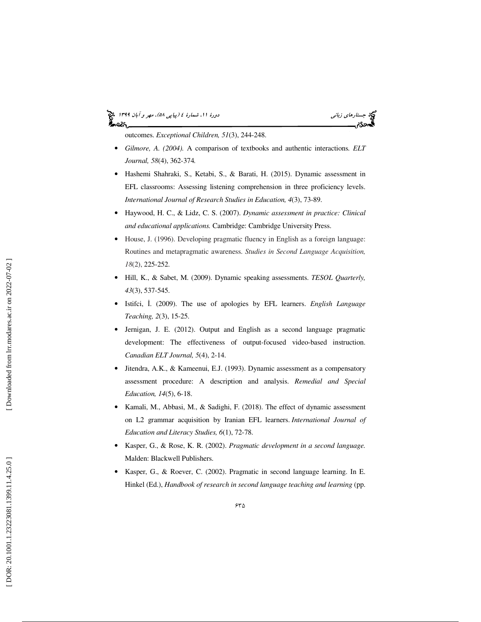# (پياپي 58)، مهر و آبان 1399 جستارهاي زباني دورة ،11 شمارة 4

outcomes. *Exceptional Children, 51*(3), 244-248.

- *Gilmore, A. (2004).* A comparison of textbooks and authentic interaction s*. ELT Journal, 58*(4), 362-374*.*
- Hashemi Shahraki, S., Ketabi, S., & Barati, H. (2015). Dynamic assessment in EFL classrooms: Assessing listening comprehension in three proficiency levels. *International Journal of Research Studies in Education, 4*(3), 73-89.
- Haywood, H. C., & Lidz, C. S. (2007). *Dynamic assessment in practice: Clinical and educational applications.* Cambridge: Cambridge University Press.
- House, J. (1996). Developing pragmatic fluency in English as a foreign language: Routines and metapragmatic awareness. *Studies in Second Language Acquisition, 18*(2), 225-252.
- Hill, K., & Sabet, M. (2009). Dynamic speaking assessments. *TESOL Quarterly, 43*(3), 537-545.
- Istifci, İ. (2009). The use of apologies by EFL learners. *English Language Teaching, 2*(3), 15-25.
- Jernigan, J. E. (2012). Output and English as a second language pragmatic development: The effectiveness of output-focused video-based instruction. *Canadian ELT Journal, 5*(4), 2-14.
- Jitendra, A.K., & Kameenui, E.J. (1993). Dynamic assessment as a compensatory assessment procedure: A description and analysis. *Remedial and Special Education, 14*(5), 6-18.
- Kamali, M., Abbasi, M., & Sadighi, F. (2018). The effect of dynamic assessment on L2 grammar acquisition by Iranian EFL learners. *International Journal of Education and Literacy Studies, 6*(1), 72-78.
- Kasper, G., & Rose, K. R. (2002). *Pragmatic development in a second language.* Malden: Blackwell Publishers.
- Kasper, G., & Roever, C. (2002). Pragmatic in second language learning. In E. Hinkel (Ed.), *Handbook of research in second language teaching and learning* (pp.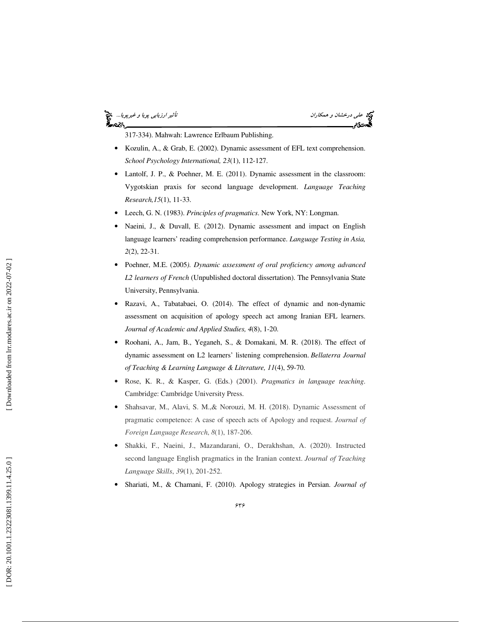#### *تأثير ارزيابي پويا و غيرپويا...* چ<mark>چ</mark> أحصركم

علي *درخشان و همكاران*<br>**گيدن3م** 

317-334). Mahwah: Lawrence Erlbaum Publishing.

- Kozulin, A., & Grab, E. (2002). Dynamic assessment of EFL text comprehension. *School Psychology International, 23*(1), 112-127.
- Lantolf, J. P., & Poehner, M. E. (2011). Dynamic assessment in the classroom: Vygotskian praxis for second language development. *Language Teaching Research,15*(1), 11-33.
- Leech, G. N. (1983). *Principles of pragmatics*. New York, NY: Longman.
- Naeini, J., & Duvall, E. (2012). Dynamic assessment and impact on English language learners' reading comprehension performance. *Language Testing in Asia, 2*(2), 22-31.
- Poehner, M.E. (2005*). Dynamic assessment of oral proficiency among advanced L2 learners of French* (Unpublished doctoral dissertation). The Pennsylvania State University, Pennsylvania.
- Razavi, A., Tabatabaei, O. (2014). The effect of dynamic and non-dynamic assessment on acquisition of apology speech act among Iranian EFL learners. *Journal of Academic and Applied Studies, 4*(8), 1-20.
- Roohani, A., Jam, B., Yeganeh, S., & Domakani, M. R. (2018). The effect of dynamic assessment on L2 learners' listening comprehension. *Bellaterra Journal of Teaching & Learning Language & Literature, 11*(4), 59-70.
- Rose, K. R., & Kasper, G. (Eds.) (2001). *Pragmatics in language teaching*. Cambridge: Cambridge University Press.
- Shahsavar, M., Alavi, S. M., & Norouzi, M. H. (2018). Dynamic Assessment of pragmatic competence: A case of speech acts of Apology and request. *Journal of Foreign Language Research*, *8*(1), 187-206.
- Shakki, F., Naeini, J., Mazandarani, O., Derakhshan, A. (2020). Instructed second language English pragmatics in the Iranian context. *Journal of Teaching Language Skills*, *39*(1), 201-252.
- Shariati, M., & Chamani, F. (2010). Apology strategies in Persian. *Journal of*